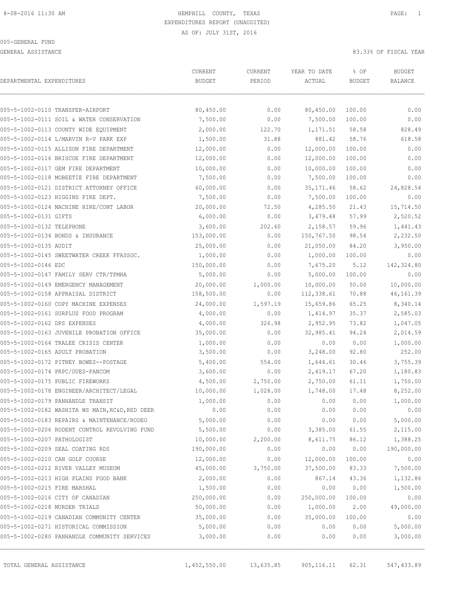GENERAL ASSISTANCE 83.33% OF FISCAL YEAR

| DEPARTMENTAL EXPENDITURES       |                                                 | CURRENT<br><b>BUDGET</b> | CURRENT<br>PERIOD | YEAR TO DATE<br>ACTUAL | % OF<br><b>BUDGET</b> | <b>BUDGET</b><br><b>BALANCE</b> |
|---------------------------------|-------------------------------------------------|--------------------------|-------------------|------------------------|-----------------------|---------------------------------|
|                                 | 005-5-1002-0110 TRANSFER-AIRPORT                | 80,450.00                | 0.00              | 80,450.00              | 100.00                | 0.00                            |
|                                 | 005-5-1002-0111 SOIL & WATER CONSERVATION       | 7,500.00                 | 0.00              | 7,500.00               | 100.00                | 0.00                            |
|                                 | 005-5-1002-0113 COUNTY WIDE EQUIPMENT           | 2,000.00                 | 122.70            | 1,171.51               | 58.58                 | 828.49                          |
|                                 | 005-5-1002-0114 L/MARVIN R-V PARK EXP           | 1,500.00                 | 31.88             | 881.42                 | 58.76                 | 618.58                          |
|                                 | 005-5-1002-0115 ALLISON FIRE DEPARTMENT         | 12,000.00                | 0.00              | 12,000.00              | 100.00                | 0.00                            |
|                                 | 005-5-1002-0116 BRISCOE FIRE DEPARTMENT         | 12,000.00                | 0.00              | 12,000.00              | 100.00                | 0.00                            |
|                                 | 005-5-1002-0117 GEM FIRE DEPARTMENT             | 10,000.00                | 0.00              | 10,000.00              | 100.00                | 0.00                            |
|                                 | 005-5-1002-0118 MOBEETIE FIRE DEPARTMENT        | 7,500.00                 | 0.00              | 7,500.00               | 100.00                | 0.00                            |
|                                 | 005-5-1002-0121 DISTRICT ATTORNEY OFFICE        | 60,000.00                | 0.00              | 35, 171.46             | 58.62                 | 24,828.54                       |
|                                 | 005-5-1002-0123 HIGGINS FIRE DEPT.              | 7,500.00                 | 0.00              | 7,500.00               | 100.00                | 0.00                            |
|                                 | 005-5-1002-0124 MACHINE HIRE/CONT LABOR         | 20,000.00                | 72.50             | 4,285.50               | 21.43                 | 15,714.50                       |
| 005-5-1002-0131 GIFTS           |                                                 | 6,000.00                 | 0.00              | 3,479.48               | 57.99                 | 2,520.52                        |
| 005-5-1002-0132 TELEPHONE       |                                                 | 3,600.00                 | 202.60            | 2,158.57               | 59.96                 | 1,441.43                        |
|                                 | 005-5-1002-0134 BONDS & INSURANCE               | 153,000.00               | 0.00              | 150,767.50             | 98.54                 | 2,232.50                        |
| 005-5-1002-0135 AUDIT           |                                                 | 25,000.00                | 0.00              | 21,050.00              | 84.20                 | 3,950.00                        |
|                                 | 005-5-1002-0145 SWEETWATER CREEK FFASSOC.       | 1,000.00                 | 0.00              | 1,000.00               | 100.00                | 0.00                            |
| 005-5-1002-0146 EDC             |                                                 | 150,000.00               | 0.00              | 7,675.20               | 5.12                  | 142,324.80                      |
|                                 | 005-5-1002-0147 FAMILY SERV CTR/TPMHA           | 5,000.00                 | 0.00              | 5,000.00               | 100.00                | 0.00                            |
|                                 | 005-5-1002-0149 EMERGENCY MANAGEMENT            | 20,000.00                | 1,000.00          | 10,000.00              | 50.00                 | 10,000.00                       |
|                                 | 005-5-1002-0158 APPRAISAL DISTRICT              | 158,500.00               | 0.00              | 112,338.61             | 70.88                 | 46, 161.39                      |
|                                 | 005-5-1002-0160 COPY MACHINE EXPENSES           | 24,000.00                | 1,597.19          | 15,659.86              | 65.25                 | 8,340.14                        |
|                                 | 005-5-1002-0161 SURPLUS FOOD PROGRAM            | 4,000.00                 | 0.00              | 1,414.97               | 35.37                 | 2,585.03                        |
| 005-5-1002-0162 DPS EXPENSES    |                                                 | 4,000.00                 | 326.98            | 2,952.95               | 73.82                 | 1,047.05                        |
|                                 | 005-5-1002-0163 JUVENILE PROBATION OFFICE       | 35,000.00                | 0.00              | 32,985.41              | 94.24                 | 2,014.59                        |
|                                 | 005-5-1002-0164 TRALEE CRISIS CENTER            | 1,000.00                 | 0.00              | 0.00                   | 0.00                  | 1,000.00                        |
| 005-5-1002-0165 ADULT PROBATION |                                                 | 3,500.00                 | 0.00              | 3,248.00               | 92.80                 | 252.00                          |
|                                 | 005-5-1002-0172 PITNEY BOWES--POSTAGE           | 5,400.00                 | 554.00            | 1,644.61               | 30.46                 | 3,755.39                        |
|                                 | 005-5-1002-0174 PRPC/DUES-PANCOM                | 3,600.00                 | 0.00              | 2,419.17               | 67.20                 | 1,180.83                        |
|                                 | 005-5-1002-0175 PUBLIC FIREWORKS                | 4,500.00                 | 2,750.00          | 2,750.00               | 61.11                 | 1,750.00                        |
|                                 | 005-5-1002-0178 ENGINEER/ARCHITECT/LEGAL        | 10,000.00                | 1,028.00          | 1,748.00               | 17.48                 | 8,252.00                        |
|                                 | 005-5-1002-0179 PANHANDLE TRANSIT               | 1,000.00                 | 0.00              | 0.00                   | 0.00                  | 1,000.00                        |
|                                 | 005-5-1002-0182 WASHITA WS MAIN, RC&D, RED DEER | 0.00                     | 0.00              | 0.00                   | 0.00                  | 0.00                            |
|                                 | 005-5-1002-0183 REPAIRS & MAINTENANCE/RODEO     | 5,000.00                 | 0.00              | 0.00                   | 0.00                  | 5,000.00                        |
|                                 | 005-5-1002-0206 RODENT CONTROL REVOLVING FUND   | 5,500.00                 | 0.00              | 3,385.00               | 61.55                 | 2,115.00                        |
| 005-5-1002-0207 PATHOLOGIST     |                                                 | 10,000.00                | 2,200.00          | 8,611.75               | 86.12                 | 1,388.25                        |
|                                 | 005-5-1002-0209 SEAL COATING RDS                | 190,000.00               | 0.00              | 0.00                   | 0.00                  | 190,000.00                      |
| 005-5-1002-0210 CAN GOLF COURSE |                                                 | 12,000.00                | 0.00              | 12,000.00              | 100.00                | 0.00                            |
|                                 | 005-5-1002-0212 RIVER VALLEY MUSEUM             | 45,000.00                | 3,750.00          | 37,500.00              | 83.33                 | 7,500.00                        |
|                                 | 005-5-1002-0213 HIGH PLAINS FOOD BANK           | 2,000.00                 | 0.00              | 867.14                 | 43.36                 | 1,132.86                        |
| 005-5-1002-0215 FIRE MARSHAL    |                                                 | 1,500.00                 | 0.00              | 0.00                   | 0.00                  | 1,500.00                        |
|                                 | 005-5-1002-0216 CITY OF CANADIAN                | 250,000.00               | 0.00              | 250,000.00             | 100.00                | 0.00                            |
| 005-5-1002-0218 MURDER TRIALS   |                                                 | 50,000.00                | 0.00              | 1,000.00               | 2.00                  | 49,000.00                       |
|                                 | 005-5-1002-0219 CANADIAN COMMUNITY CENTER       | 35,000.00                | 0.00              | 35,000.00              | 100.00                | 0.00                            |
|                                 | 005-5-1002-0271 HISTORICAL COMMISSION           | 5,000.00                 | 0.00              | 0.00                   | 0.00                  | 5,000.00                        |
|                                 | 005-5-1002-0280 PANHANDLE COMMUNITY SERVICES    | 3,000.00                 | 0.00              | 0.00                   | 0.00                  | 3,000.00                        |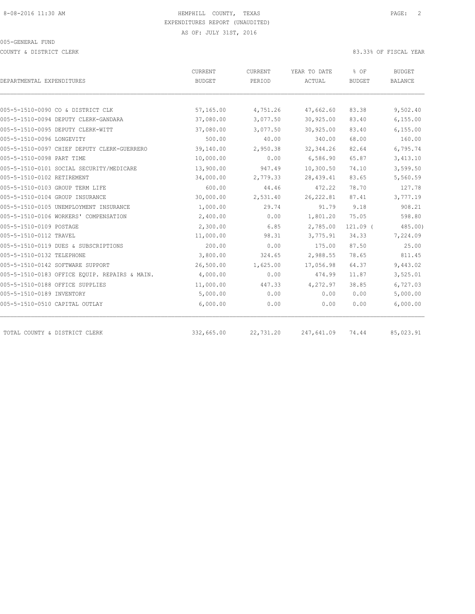COUNTY & DISTRICT CLERK 83.33% OF FISCAL YEAR

|                                               | CURRENT       | CURRENT   | YEAR TO DATE | % OF          | BUDGET         |  |
|-----------------------------------------------|---------------|-----------|--------------|---------------|----------------|--|
| DEPARTMENTAL EXPENDITURES                     | <b>BUDGET</b> | PERIOD    | ACTUAL       | <b>BUDGET</b> | <b>BALANCE</b> |  |
|                                               |               |           |              |               |                |  |
| 005-5-1510-0090 CO & DISTRICT CLK             | 57,165.00     | 4,751.26  | 47,662.60    | 83.38         | 9,502.40       |  |
| 005-5-1510-0094 DEPUTY CLERK-GANDARA          | 37,080.00     | 3,077.50  | 30,925.00    | 83.40         | 6, 155.00      |  |
| 005-5-1510-0095 DEPUTY CLERK-WITT             | 37,080.00     | 3,077.50  | 30,925.00    | 83.40         | 6, 155.00      |  |
| 005-5-1510-0096 LONGEVITY                     | 500.00        | 40.00     | 340.00       | 68.00         | 160.00         |  |
| 005-5-1510-0097 CHIEF DEPUTY CLERK-GUERRERO   | 39,140.00     | 2,950.38  | 32, 344.26   | 82.64         | 6,795.74       |  |
| 005-5-1510-0098 PART TIME                     | 10,000.00     | 0.00      | 6,586.90     | 65.87         | 3,413.10       |  |
| 005-5-1510-0101 SOCIAL SECURITY/MEDICARE      | 13,900.00     | 947.49    | 10,300.50    | 74.10         | 3,599.50       |  |
| 005-5-1510-0102 RETIREMENT                    | 34,000.00     | 2,779.33  | 28, 439.41   | 83.65         | 5,560.59       |  |
| 005-5-1510-0103 GROUP TERM LIFE               | 600.00        | 44.46     | 472.22       | 78.70         | 127.78         |  |
| 005-5-1510-0104 GROUP INSURANCE               | 30,000.00     | 2,531.40  | 26, 222.81   | 87.41         | 3,777.19       |  |
| 005-5-1510-0105 UNEMPLOYMENT INSURANCE        | 1,000.00      | 29.74     | 91.79        | 9.18          | 908.21         |  |
| 005-5-1510-0106 WORKERS' COMPENSATION         | 2,400.00      | 0.00      | 1,801.20     | 75.05         | 598.80         |  |
| 005-5-1510-0109 POSTAGE                       | 2,300.00      | 6.85      | 2,785.00     | $121.09$ (    | 485.00         |  |
| 005-5-1510-0112 TRAVEL                        | 11,000.00     | 98.31     | 3,775.91     | 34.33         | 7,224.09       |  |
| 005-5-1510-0119 DUES & SUBSCRIPTIONS          | 200.00        | 0.00      | 175.00       | 87.50         | 25.00          |  |
| 005-5-1510-0132 TELEPHONE                     | 3,800.00      | 324.65    | 2,988.55     | 78.65         | 811.45         |  |
| 005-5-1510-0142 SOFTWARE SUPPORT              | 26,500.00     | 1,625.00  | 17,056.98    | 64.37         | 9,443.02       |  |
| 005-5-1510-0183 OFFICE EOUIP. REPAIRS & MAIN. | 4,000.00      | 0.00      | 474.99       | 11.87         | 3,525.01       |  |
| 005-5-1510-0188 OFFICE SUPPLIES               | 11,000.00     | 447.33    | 4,272.97     | 38.85         | 6,727.03       |  |
| 005-5-1510-0189 INVENTORY                     | 5,000.00      | 0.00      | 0.00         | 0.00          | 5,000.00       |  |
| 005-5-1510-0510 CAPITAL OUTLAY                | 6,000.00      | 0.00      | 0.00         | 0.00          | 6,000.00       |  |
|                                               |               |           |              |               |                |  |
| TOTAL COUNTY & DISTRICT CLERK                 | 332,665.00    | 22,731.20 | 247,641.09   | 74.44         | 85,023.91      |  |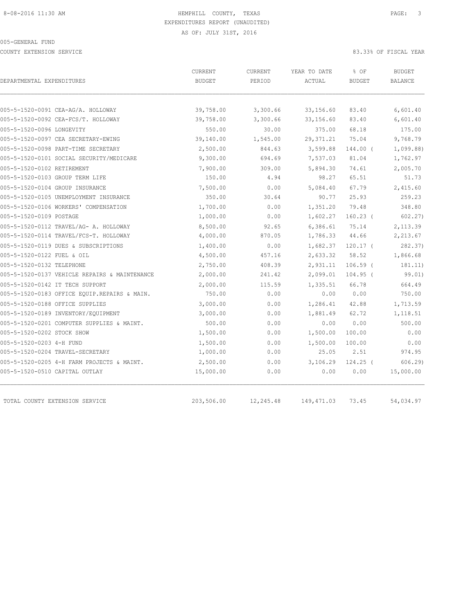COUNTY EXTENSION SERVICE 83.33% OF FISCAL YEAR

| DEPARTMENTAL EXPENDITURES                     | CURRENT<br><b>BUDGET</b> | <b>CURRENT</b><br>PERIOD | YEAR TO DATE<br>ACTUAL | % OF<br><b>BUDGET</b> | <b>BUDGET</b><br><b>BALANCE</b> |
|-----------------------------------------------|--------------------------|--------------------------|------------------------|-----------------------|---------------------------------|
|                                               |                          |                          |                        |                       |                                 |
| 005-5-1520-0091 CEA-AG/A. HOLLOWAY            | 39,758.00                | 3,300.66                 | 33, 156.60             | 83.40                 | 6,601.40                        |
| 005-5-1520-0092 CEA-FCS/T. HOLLOWAY           | 39,758.00                | 3,300.66                 | 33,156.60              | 83.40                 | 6,601.40                        |
| 005-5-1520-0096 LONGEVITY                     | 550.00                   | 30.00                    | 375.00                 | 68.18                 | 175.00                          |
| 005-5-1520-0097 CEA SECRETARY-EWING           | 39,140.00                | 1,545.00                 | 29, 371.21             | 75.04                 | 9,768.79                        |
| 005-5-1520-0098 PART-TIME SECRETARY           | 2,500.00                 | 844.63                   | 3,599.88               | 144.00 (              | 1,099.88                        |
| 005-5-1520-0101 SOCIAL SECURITY/MEDICARE      | 9,300.00                 | 694.69                   | 7,537.03               | 81.04                 | 1,762.97                        |
| 005-5-1520-0102 RETIREMENT                    | 7,900.00                 | 309.00                   | 5,894.30               | 74.61                 | 2,005.70                        |
| 005-5-1520-0103 GROUP TERM LIFE               | 150.00                   | 4.94                     | 98.27                  | 65.51                 | 51.73                           |
| 005-5-1520-0104 GROUP INSURANCE               | 7,500.00                 | 0.00                     | 5,084.40               | 67.79                 | 2,415.60                        |
| 005-5-1520-0105 UNEMPLOYMENT INSURANCE        | 350.00                   | 30.64                    | 90.77                  | 25.93                 | 259.23                          |
| 005-5-1520-0106 WORKERS' COMPENSATION         | 1,700.00                 | 0.00                     | 1,351.20               | 79.48                 | 348.80                          |
| 005-5-1520-0109 POSTAGE                       | 1,000.00                 | 0.00                     | 1,602.27               | $160.23$ (            | 602.27                          |
| 005-5-1520-0112 TRAVEL/AG- A. HOLLOWAY        | 8,500.00                 | 92.65                    | 6,386.61               | 75.14                 | 2,113.39                        |
| 005-5-1520-0114 TRAVEL/FCS-T. HOLLOWAY        | 4,000.00                 | 870.05                   | 1,786.33               | 44.66                 | 2,213.67                        |
| 005-5-1520-0119 DUES & SUBSCRIPTIONS          | 1,400.00                 | 0.00                     | 1,682.37               | $120.17$ (            | 282.37)                         |
| 005-5-1520-0122 FUEL & OIL                    | 4,500.00                 | 457.16                   | 2,633.32               | 58.52                 | 1,866.68                        |
| 005-5-1520-0132 TELEPHONE                     | 2,750.00                 | 408.39                   | 2,931.11               | $106.59$ (            | 181.11)                         |
| 005-5-1520-0137 VEHICLE REPAIRS & MAINTENANCE | 2,000.00                 | 241.42                   | 2,099.01               | $104.95$ (            | 99.01)                          |
| 005-5-1520-0142 IT TECH SUPPORT               | 2,000.00                 | 115.59                   | 1,335.51               | 66.78                 | 664.49                          |
| 005-5-1520-0183 OFFICE EQUIP.REPAIRS & MAIN.  | 750.00                   | 0.00                     | 0.00                   | 0.00                  | 750.00                          |
| 005-5-1520-0188 OFFICE SUPPLIES               | 3,000.00                 | 0.00                     | 1,286.41               | 42.88                 | 1,713.59                        |
| 005-5-1520-0189 INVENTORY/EQUIPMENT           | 3,000.00                 | 0.00                     | 1,881.49               | 62.72                 | 1,118.51                        |
| 005-5-1520-0201 COMPUTER SUPPLIES & MAINT.    | 500.00                   | 0.00                     | 0.00                   | 0.00                  | 500.00                          |
| 005-5-1520-0202 STOCK SHOW                    | 1,500.00                 | 0.00                     | 1,500.00               | 100.00                | 0.00                            |
| 005-5-1520-0203 4-H FUND                      | 1,500.00                 | 0.00                     | 1,500.00               | 100.00                | 0.00                            |
| 005-5-1520-0204 TRAVEL-SECRETARY              | 1,000.00                 | 0.00                     | 25.05                  | 2.51                  | 974.95                          |
| 005-5-1520-0205 4-H FARM PROJECTS & MAINT.    | 2,500.00                 | 0.00                     | 3,106.29               | $124.25$ (            | 606.29                          |
| 005-5-1520-0510 CAPITAL OUTLAY                | 15,000.00                | 0.00                     | 0.00                   | 0.00                  | 15,000.00                       |
| TOTAL COUNTY EXTENSION SERVICE                | 203,506.00               | 12,245.48                | 149,471.03             | 73.45                 | 54,034.97                       |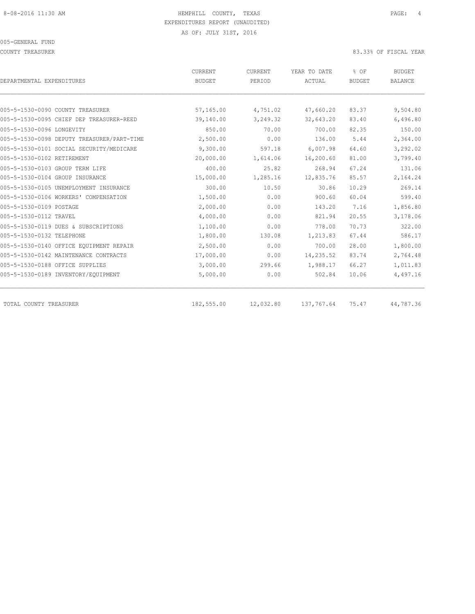COUNTY TREASURER **EXECUTE:** 83.33% OF FISCAL YEAR

| DEPARTMENTAL EXPENDITURES                  | <b>CURRENT</b><br><b>BUDGET</b> | CURRENT<br>PERIOD | YEAR TO DATE<br>ACTUAL | % OF<br><b>BUDGET</b> | <b>BUDGET</b><br><b>BALANCE</b> |
|--------------------------------------------|---------------------------------|-------------------|------------------------|-----------------------|---------------------------------|
|                                            |                                 |                   |                        |                       |                                 |
| 005-5-1530-0090 COUNTY TREASURER           | 57,165.00                       | 4,751.02          | 47,660.20              | 83.37                 | 9,504.80                        |
| 005-5-1530-0095 CHIEF DEP TREASURER-REED   | 39,140.00                       | 3,249.32          | 32,643.20              | 83.40                 | 6,496.80                        |
| 005-5-1530-0096 LONGEVITY                  | 850.00                          | 70.00             | 700.00                 | 82.35                 | 150.00                          |
| 005-5-1530-0098 DEPUTY TREASURER/PART-TIME | 2,500.00                        | 0.00              | 136.00                 | 5.44                  | 2,364.00                        |
| 005-5-1530-0101 SOCIAL SECURITY/MEDICARE   | 9,300.00                        | 597.18            | 6,007.98               | 64.60                 | 3,292.02                        |
| 005-5-1530-0102 RETIREMENT                 | 20,000.00                       | 1,614.06          | 16,200.60              | 81.00                 | 3,799.40                        |
| 005-5-1530-0103 GROUP TERM LIFE            | 400.00                          | 25.82             | 268.94                 | 67.24                 | 131.06                          |
| 005-5-1530-0104 GROUP INSURANCE            | 15,000.00                       | 1,285.16          | 12,835.76              | 85.57                 | 2,164.24                        |
| 005-5-1530-0105 UNEMPLOYMENT INSURANCE     | 300.00                          | 10.50             | 30.86                  | 10.29                 | 269.14                          |
| 005-5-1530-0106 WORKERS' COMPENSATION      | 1,500.00                        | 0.00              | 900.60                 | 60.04                 | 599.40                          |
| 005-5-1530-0109 POSTAGE                    | 2,000.00                        | 0.00              | 143.20                 | 7.16                  | 1,856.80                        |
| 005-5-1530-0112 TRAVEL                     | 4,000.00                        | 0.00              | 821.94                 | 20.55                 | 3,178.06                        |
| 005-5-1530-0119 DUES & SUBSCRIPTIONS       | 1,100.00                        | 0.00              | 778.00                 | 70.73                 | 322.00                          |
| 005-5-1530-0132 TELEPHONE                  | 1,800.00                        | 130.08            | 1,213.83               | 67.44                 | 586.17                          |
| 005-5-1530-0140 OFFICE EQUIPMENT REPAIR    | 2,500.00                        | 0.00              | 700.00                 | 28.00                 | 1,800.00                        |
| 005-5-1530-0142 MAINTENANCE CONTRACTS      | 17,000.00                       | 0.00              | 14,235.52              | 83.74                 | 2,764.48                        |
| 005-5-1530-0188 OFFICE SUPPLIES            | 3,000.00                        | 299.66            | 1,988.17               | 66.27                 | 1,011.83                        |
| 005-5-1530-0189 INVENTORY/EQUIPMENT        | 5,000.00                        | 0.00              | 502.84                 | 10.06                 | 4,497.16                        |
| TOTAL COUNTY TREASURER                     | 182,555.00                      | 12,032.80         | 137,767.64             | 75.47                 | 44,787.36                       |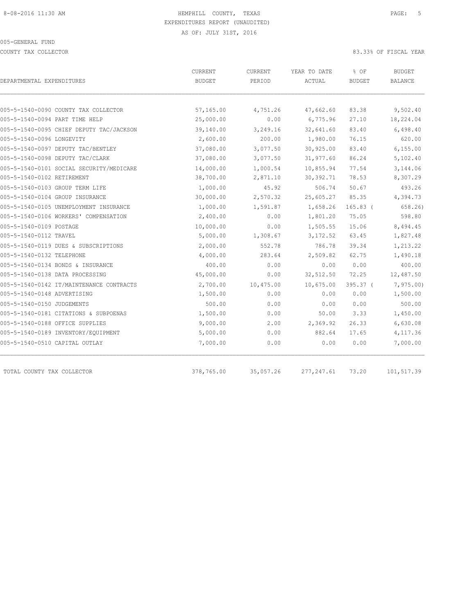COUNTY TAX COLLECTOR 83.33% OF FISCAL YEAR

| DEPARTMENTAL EXPENDITURES                | <b>CURRENT</b><br><b>BUDGET</b> | <b>CURRENT</b><br>PERIOD | YEAR TO DATE<br>ACTUAL | % OF<br><b>BUDGET</b> | <b>BUDGET</b><br><b>BALANCE</b> |
|------------------------------------------|---------------------------------|--------------------------|------------------------|-----------------------|---------------------------------|
| 005-5-1540-0090 COUNTY TAX COLLECTOR     | 57,165.00                       | 4,751.26                 | 47,662.60              | 83.38                 | 9,502.40                        |
| 005-5-1540-0094 PART TIME HELP           | 25,000.00                       | 0.00                     | 6,775.96               | 27.10                 | 18,224.04                       |
| 005-5-1540-0095 CHIEF DEPUTY TAC/JACKSON | 39,140.00                       | 3,249.16                 | 32,641.60              | 83.40                 | 6,498.40                        |
| 005-5-1540-0096 LONGEVITY                | 2,600.00                        | 200.00                   | 1,980.00               | 76.15                 | 620.00                          |
| 005-5-1540-0097 DEPUTY TAC/BENTLEY       | 37,080.00                       | 3,077.50                 | 30,925.00              | 83.40                 | 6, 155.00                       |
| 005-5-1540-0098 DEPUTY TAC/CLARK         | 37,080.00                       | 3,077.50                 | 31,977.60              | 86.24                 | 5,102.40                        |
| 005-5-1540-0101 SOCIAL SECURITY/MEDICARE | 14,000.00                       | 1,000.54                 | 10,855.94              | 77.54                 | 3,144.06                        |
| 005-5-1540-0102 RETIREMENT               | 38,700.00                       | 2,871.10                 | 30, 392.71             | 78.53                 | 8,307.29                        |
| 005-5-1540-0103 GROUP TERM LIFE          | 1,000.00                        | 45.92                    | 506.74                 | 50.67                 | 493.26                          |
| 005-5-1540-0104 GROUP INSURANCE          | 30,000.00                       | 2,570.32                 | 25,605.27              | 85.35                 | 4,394.73                        |
| 005-5-1540-0105 UNEMPLOYMENT INSURANCE   | 1,000.00                        | 1,591.87                 | 1,658.26               | $165.83$ (            | 658.26)                         |
| 005-5-1540-0106 WORKERS' COMPENSATION    | 2,400.00                        | 0.00                     | 1,801.20               | 75.05                 | 598.80                          |
| 005-5-1540-0109 POSTAGE                  | 10,000.00                       | 0.00                     | 1,505.55               | 15.06                 | 8,494.45                        |
| 005-5-1540-0112 TRAVEL                   | 5,000.00                        | 1,308.67                 | 3,172.52               | 63.45                 | 1,827.48                        |
| 005-5-1540-0119 DUES & SUBSCRIPTIONS     | 2,000.00                        | 552.78                   | 786.78                 | 39.34                 | 1,213.22                        |
| 005-5-1540-0132 TELEPHONE                | 4,000.00                        | 283.64                   | 2,509.82               | 62.75                 | 1,490.18                        |
| 005-5-1540-0134 BONDS & INSURANCE        | 400.00                          | 0.00                     | 0.00                   | 0.00                  | 400.00                          |
| 005-5-1540-0138 DATA PROCESSING          | 45,000.00                       | 0.00                     | 32,512.50              | 72.25                 | 12,487.50                       |
| 005-5-1540-0142 IT/MAINTENANCE CONTRACTS | 2,700.00                        | 10,475.00                | 10,675.00              | $395.37$ (            | 7,975.00                        |
| 005-5-1540-0148 ADVERTISING              | 1,500.00                        | 0.00                     | 0.00                   | 0.00                  | 1,500.00                        |
| 005-5-1540-0150 JUDGEMENTS               | 500.00                          | 0.00                     | 0.00                   | 0.00                  | 500.00                          |
| 005-5-1540-0181 CITATIONS & SUBPOENAS    | 1,500.00                        | 0.00                     | 50.00                  | 3.33                  | 1,450.00                        |
| 005-5-1540-0188 OFFICE SUPPLIES          | 9,000.00                        | 2.00                     | 2,369.92               | 26.33                 |                                 |
| 005-5-1540-0189 INVENTORY/EQUIPMENT      | 5,000.00                        | 0.00                     | 882.64                 | 17.65                 | 6,630.08<br>4,117.36            |
|                                          |                                 |                          |                        |                       |                                 |
| 005-5-1540-0510 CAPITAL OUTLAY           | 7,000.00                        | 0.00                     | 0.00                   | 0.00                  | 7,000.00                        |
| TOTAL COUNTY TAX COLLECTOR               | 378,765.00                      | 35,057.26                | 277, 247.61            | 73.20                 | 101,517.39                      |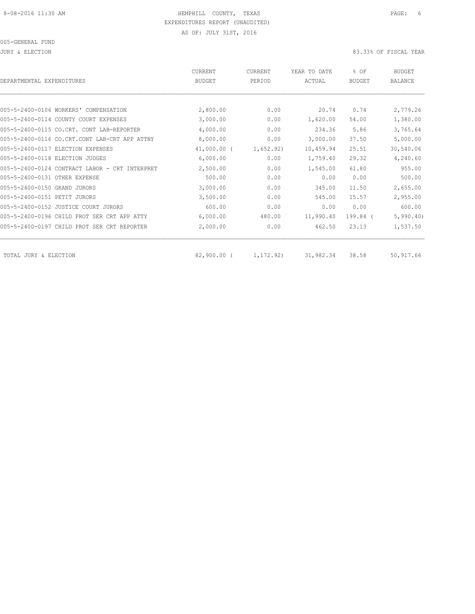JURY & ELECTION 83.33% OF FISCAL YEAR

| DEPARTMENTAL EXPENDITURES                         | <b>CURRENT</b><br><b>BUDGET</b> | CURRENT<br>PERIOD | YEAR TO DATE<br>ACTUAL | % OF<br><b>BUDGET</b> | <b>BUDGET</b><br><b>BALANCE</b> |
|---------------------------------------------------|---------------------------------|-------------------|------------------------|-----------------------|---------------------------------|
|                                                   |                                 |                   |                        |                       |                                 |
| 005-5-2400-0106 WORKERS' COMPENSATION             | 2,800.00                        | 0.00              | 20.74                  | 0.74                  | 2,779.26                        |
| 005-5-2400-0114 COUNTY COURT EXPENSES             | 3,000.00                        | 0.00              | 1,620.00               | 54.00                 | 1,380.00                        |
| 005-5-2400-0115 CO.CRT. CONT LAB-REPORTER         | 4,000.00                        | 0.00              | 234.36                 | 5.86                  | 3,765.64                        |
| 005-5-2400-0116 CO.CRT.CONT LAB-CRT APP ATTNY     | 8,000.00                        | 0.00              | 3,000.00               | 37.50                 | 5,000.00                        |
| 005-5-2400-0117 ELECTION EXPENSES                 | $41,000.00$ (                   | 1,652.92)         | 10,459.94              | 25.51                 | 30,540.06                       |
| 005-5-2400-0118 ELECTION JUDGES                   | 6,000.00                        | 0.00              | 1,759.40               | 29.32                 | 4,240.60                        |
| 005-5-2400-0124 CONTRACT LABOR - CRT<br>INTERPRET | 2,500.00                        | 0.00              | 1,545.00               | 61.80                 | 955.00                          |
| 005-5-2400-0131 OTHER EXPENSE                     | 500.00                          | 0.00              | 0.00                   | 0.00                  | 500.00                          |
| 005-5-2400-0150 GRAND JURORS                      | 3,000.00                        | 0.00              | 345.00                 | 11.50                 | 2,655.00                        |
| 005-5-2400-0151 PETIT JURORS                      | 3,500.00                        | 0.00              | 545.00                 | 15.57                 | 2,955.00                        |
| 005-5-2400-0152 JUSTICE COURT JURORS              | 600.00                          | 0.00              | 0.00                   | 0.00                  | 600.00                          |
| 005-5-2400-0196 CHILD PROT SER CRT APP ATTY       | 6,000.00                        | 480.00            | 11,990.40              | 199.84 (              | 5,990.40                        |
| 005-5-2400-0197 CHILD PROT SER CRT REPORTER       | 2,000.00                        | 0.00              | 462.50                 | 23.13                 | 1,537.50                        |
| TOTAL JURY & ELECTION                             | $82,900.00$ (                   | 1, 172.92)        | 31,982.34              | 38.58                 | 50,917.66                       |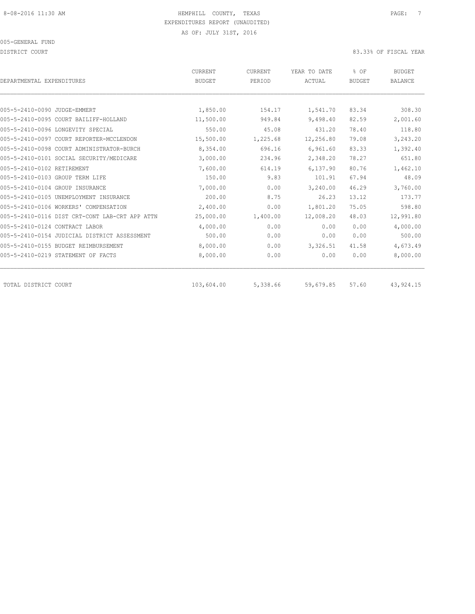DISTRICT COURT COURT COURT COURT COURT COURT COURT COURT COURT COURT COURT COURT COURT COURT COURT COURT COURT

| DEPARTMENTAL EXPENDITURES       |                                                | <b>CURRENT</b><br><b>BUDGET</b> | CURRENT<br>PERIOD | YEAR TO DATE<br>ACTUAL | % OF<br><b>BUDGET</b> | <b>BUDGET</b><br><b>BALANCE</b> |
|---------------------------------|------------------------------------------------|---------------------------------|-------------------|------------------------|-----------------------|---------------------------------|
|                                 |                                                |                                 |                   |                        |                       |                                 |
| 005-5-2410-0090 JUDGE-EMMERT    |                                                | 1,850.00                        | 154.17            | 1,541.70               | 83.34                 | 308.30                          |
|                                 | 005-5-2410-0095 COURT BAILIFF-HOLLAND          | 11,500.00                       | 949.84            | 9,498.40               | 82.59                 | 2,001.60                        |
|                                 | 005-5-2410-0096 LONGEVITY SPECIAL              | 550.00                          | 45.08             | 431.20                 | 78.40                 | 118.80                          |
|                                 | 005-5-2410-0097 COURT REPORTER-MCCLENDON       | 15,500.00                       | 1,225.68          | 12,256.80              | 79.08                 | 3,243.20                        |
|                                 | 005-5-2410-0098 COURT ADMINISTRATOR-BURCH      | 8,354.00                        | 696.16            | 6,961.60               | 83.33                 | 1,392.40                        |
|                                 | 005-5-2410-0101 SOCIAL SECURITY/MEDICARE       | 3,000.00                        | 234.96            | 2,348.20               | 78.27                 | 651.80                          |
| 005-5-2410-0102 RETIREMENT      |                                                | 7,600.00                        | 614.19            | 6,137.90               | 80.76                 | 1,462.10                        |
| 005-5-2410-0103 GROUP TERM LIFE |                                                | 150.00                          | 9.83              | 101.91                 | 67.94                 | 48.09                           |
| 005-5-2410-0104 GROUP INSURANCE |                                                | 7,000.00                        | 0.00              | 3,240.00               | 46.29                 | 3,760.00                        |
|                                 | 005-5-2410-0105 UNEMPLOYMENT INSURANCE         | 200.00                          | 8.75              | 26.23                  | 13.12                 | 173.77                          |
|                                 | 005-5-2410-0106 WORKERS' COMPENSATION          | 2,400.00                        | 0.00              | 1,801.20               | 75.05                 | 598.80                          |
|                                 | 005-5-2410-0116 DIST CRT-CONT LAB-CRT APP ATTN | 25,000.00                       | 1,400.00          | 12,008.20              | 48.03                 | 12,991.80                       |
| 005-5-2410-0124 CONTRACT LABOR  |                                                | 4,000.00                        | 0.00              | 0.00                   | 0.00                  | 4,000.00                        |
|                                 | 005-5-2410-0154 JUDICIAL DISTRICT ASSESSMENT   | 500.00                          | 0.00              | 0.00                   | 0.00                  | 500.00                          |
|                                 | 005-5-2410-0155 BUDGET REIMBURSEMENT           | 8,000.00                        | 0.00              | 3,326.51               | 41.58                 | 4,673.49                        |
|                                 | 005-5-2410-0219 STATEMENT OF FACTS             | 8,000.00                        | 0.00              | 0.00                   | 0.00                  | 8,000.00                        |
| TOTAL DISTRICT COURT            |                                                | 103,604.00                      | 5,338.66          | 59,679.85              | 57.60                 | 43, 924. 15                     |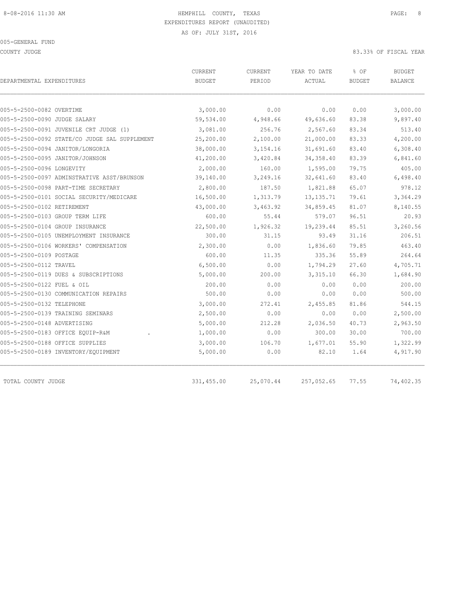COUNTY JUDGE 83.33% OF FISCAL YEAR

| DEPARTMENTAL EXPENDITURES                     | CURRENT<br><b>BUDGET</b> | <b>CURRENT</b><br>PERIOD | YEAR TO DATE<br>ACTUAL | % OF<br><b>BUDGET</b> | <b>BUDGET</b><br><b>BALANCE</b> |
|-----------------------------------------------|--------------------------|--------------------------|------------------------|-----------------------|---------------------------------|
|                                               |                          |                          |                        |                       |                                 |
| 005-5-2500-0082 OVERTIME                      | 3,000.00                 | 0.00                     | 0.00                   | 0.00                  | 3,000.00                        |
| 005-5-2500-0090 JUDGE SALARY                  | 59,534.00                | 4,948.66                 | 49,636.60              | 83.38                 | 9,897.40                        |
| 005-5-2500-0091 JUVENILE CRT JUDGE (1)        | 3,081.00                 | 256.76                   | 2,567.60               | 83.34                 | 513.40                          |
| 005-5-2500-0092 STATE/CO JUDGE SAL SUPPLEMENT | 25,200.00                | 2,100.00                 | 21,000.00              | 83.33                 | 4,200.00                        |
| 005-5-2500-0094 JANITOR/LONGORIA              | 38,000.00                | 3,154.16                 | 31,691.60              | 83.40                 | 6,308.40                        |
| 005-5-2500-0095 JANITOR/JOHNSON               | 41,200.00                | 3,420.84                 | 34, 358.40             | 83.39                 | 6,841.60                        |
| 005-5-2500-0096 LONGEVITY                     | 2,000.00                 | 160.00                   | 1,595.00               | 79.75                 | 405.00                          |
| 005-5-2500-0097 ADMINSTRATIVE ASST/BRUNSON    | 39,140.00                | 3,249.16                 | 32,641.60              | 83.40                 | 6,498.40                        |
| 005-5-2500-0098 PART-TIME SECRETARY           | 2,800.00                 | 187.50                   | 1,821.88               | 65.07                 | 978.12                          |
| 005-5-2500-0101 SOCIAL SECURITY/MEDICARE      | 16,500.00                | 1,313.79                 | 13, 135.71             | 79.61                 | 3,364.29                        |
| 005-5-2500-0102 RETIREMENT                    | 43,000.00                | 3,463.92                 | 34,859.45              | 81.07                 | 8,140.55                        |
| 005-5-2500-0103 GROUP TERM LIFE               | 600.00                   | 55.44                    | 579.07                 | 96.51                 | 20.93                           |
| 005-5-2500-0104 GROUP INSURANCE               | 22,500.00                | 1,926.32                 | 19,239.44              | 85.51                 | 3,260.56                        |
| 005-5-2500-0105 UNEMPLOYMENT INSURANCE        | 300.00                   | 31.15                    | 93.49                  | 31.16                 | 206.51                          |
| 005-5-2500-0106 WORKERS' COMPENSATION         | 2,300.00                 | 0.00                     | 1,836.60               | 79.85                 | 463.40                          |
| 005-5-2500-0109 POSTAGE                       | 600.00                   | 11.35                    | 335.36                 | 55.89                 | 264.64                          |
| 005-5-2500-0112 TRAVEL                        | 6,500.00                 | 0.00                     | 1,794.29               | 27.60                 | 4,705.71                        |
| 005-5-2500-0119 DUES & SUBSCRIPTIONS          | 5,000.00                 | 200.00                   | 3,315.10               | 66.30                 | 1,684.90                        |
| 005-5-2500-0122 FUEL & OIL                    | 200.00                   | 0.00                     | 0.00                   | 0.00                  | 200.00                          |
| 005-5-2500-0130 COMMUNICATION REPAIRS         | 500.00                   | 0.00                     | 0.00                   | 0.00                  | 500.00                          |
| 005-5-2500-0132 TELEPHONE                     | 3,000.00                 | 272.41                   | 2,455.85               | 81.86                 | 544.15                          |
| 005-5-2500-0139 TRAINING SEMINARS             | 2,500.00                 | 0.00                     | 0.00                   | 0.00                  | 2,500.00                        |
| 005-5-2500-0148 ADVERTISING                   | 5,000.00                 | 212.28                   | 2,036.50               | 40.73                 | 2,963.50                        |
| 005-5-2500-0183 OFFICE EQUIP-R&M              | 1,000.00                 | 0.00                     | 300.00                 | 30.00                 | 700.00                          |
| 005-5-2500-0188 OFFICE SUPPLIES               | 3,000.00                 | 106.70                   | 1,677.01               | 55.90                 | 1,322.99                        |
| 005-5-2500-0189 INVENTORY/EQUIPMENT           | 5,000.00                 | 0.00                     | 82.10                  | 1.64                  | 4,917.90                        |
| TOTAL COUNTY JUDGE                            | 331,455.00               | 25,070.44                | 257,052.65             | 77.55                 | 74,402.35                       |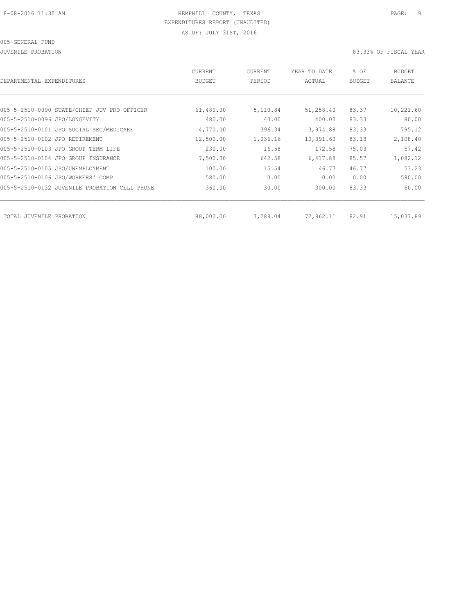#### 005-GENERAL FUND

JUVENILE PROBATION 83.33% OF FISCAL YEAR

| DEPARTMENTAL EXPENDITURES                     | CURRENT<br>BUDGET | CURRENT<br>PERIOD | YEAR TO DATE<br>ACTUAL | % OF<br><b>BUDGET</b> | <b>BUDGET</b><br>BALANCE |
|-----------------------------------------------|-------------------|-------------------|------------------------|-----------------------|--------------------------|
|                                               |                   |                   |                        |                       |                          |
| 005-5-2510-0090 STATE/CHIEF JUV PRO OFFICER   | 61,480.00         | 5,110.84          | 51,258.40              | 83.37                 | 10,221.60                |
| 005-5-2510-0096 JPO/LONGEVITY                 | 480.00            | 40.00             | 400.00                 | 83.33                 | 80.00                    |
| 005-5-2510-0101 JPO SOCIAL SEC/MEDICARE       | 4,770.00          | 396.34            | 3,974.88               | 83.33                 | 795.12                   |
| 005-5-2510-0102 JPO RETIREMENT                | 12,500.00         | 1,036.16          | 10,391.60              | 83.13                 | 2,108.40                 |
| 005-5-2510-0103 JPO GROUP TERM LIFE           | 230.00            | 16.58             | 172.58                 | 75.03                 | 57.42                    |
| 005-5-2510-0104 JPO GROUP INSURANCE           | 7,500.00          | 642.58            | 6,417.88               | 85.57                 | 1,082.12                 |
| 005-5-2510-0105 JPO/UNEMPLOYMENT              | 100.00            | 15.54             | 46.77                  | 46.77                 | 53.23                    |
| 005-5-2510-0106 JPO/WORKERS' COMP             | 580.00            | 0.00              | 0.00                   | 0.00                  | 580.00                   |
| 005-5-2510-0132 JUVENILE PROBATION CELL PHONE | 360.00            | 30.00             | 300.00                 | 83.33                 | 60.00                    |
|                                               |                   |                   |                        |                       |                          |
| TOTAL JUVENILE PROBATION                      | 88,000.00         | 7,288.04          | 72,962.11              | 82.91                 | 15,037.89                |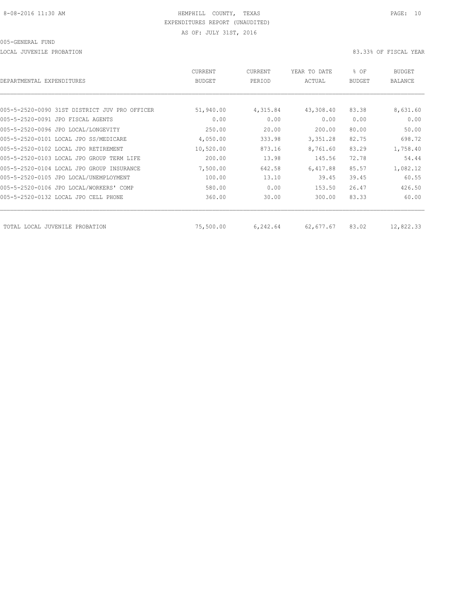LOCAL JUVENILE PROBATION 83.33% OF FISCAL YEAR

| DEPARTMENTAL EXPENDITURES                     | CURRENT<br><b>BUDGET</b> | CURRENT<br>PERIOD | YEAR TO DATE<br>ACTUAL | % OF<br><b>BUDGET</b> | <b>BUDGET</b><br>BALANCE |
|-----------------------------------------------|--------------------------|-------------------|------------------------|-----------------------|--------------------------|
|                                               |                          |                   |                        |                       |                          |
| 005-5-2520-0090 31ST DISTRICT JUV PRO OFFICER | 51,940.00                | 4,315.84          | 43,308.40              | 83.38                 | 8,631.60                 |
| 005-5-2520-0091 JPO FISCAL AGENTS             | 0.00                     | 0.00              | 0.00                   | 0.00                  | 0.00                     |
| 005-5-2520-0096 JPO LOCAL/LONGEVITY           | 250.00                   | 20.00             | 200.00                 | 80.00                 | 50.00                    |
| 005-5-2520-0101 LOCAL JPO SS/MEDICARE         | 4,050.00                 | 333.98            | 3,351.28               | 82.75                 | 698.72                   |
| 005-5-2520-0102 LOCAL JPO RETIREMENT          | 10,520.00                | 873.16            | 8,761.60               | 83.29                 | 1,758.40                 |
| 005-5-2520-0103 LOCAL JPO GROUP TERM LIFE     | 200.00                   | 13.98             | 145.56                 | 72.78                 | 54.44                    |
| 005-5-2520-0104 LOCAL JPO GROUP INSURANCE     | 7,500.00                 | 642.58            | 6,417.88               | 85.57                 | 1,082.12                 |
| 005-5-2520-0105 JPO LOCAL/UNEMPLOYMENT        | 100.00                   | 13.10             | 39.45                  | 39.45                 | 60.55                    |
| 005-5-2520-0106 JPO LOCAL/WORKERS' COMP       | 580.00                   | 0.00              | 153.50                 | 26.47                 | 426.50                   |
| 005-5-2520-0132 LOCAL JPO CELL PHONE          | 360.00                   | 30.00             | 300.00                 | 83.33                 | 60.00                    |
| TOTAL LOCAL JUVENILE PROBATION                | 75,500.00                | 6,242.64          | 62,677.67              | 83.02                 | 12,822.33                |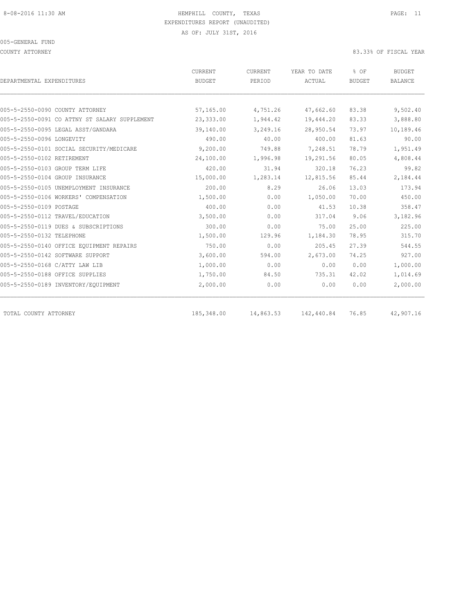#### 005-GENERAL FUND

COUNTY ATTORNEY 83.33% OF FISCAL YEAR

| DEPARTMENTAL EXPENDITURES                     | CURRENT<br><b>BUDGET</b> | CURRENT<br>PERIOD | YEAR TO DATE<br>ACTUAL | % OF<br><b>BUDGET</b> | <b>BUDGET</b><br><b>BALANCE</b> |
|-----------------------------------------------|--------------------------|-------------------|------------------------|-----------------------|---------------------------------|
|                                               |                          |                   |                        |                       |                                 |
| 005-5-2550-0090 COUNTY ATTORNEY               | 57,165.00                | 4,751.26          | 47,662.60              | 83.38                 | 9,502.40                        |
| 005-5-2550-0091 CO ATTNY ST SALARY SUPPLEMENT | 23,333.00                | 1,944.42          | 19,444.20              | 83.33                 | 3,888.80                        |
| 005-5-2550-0095 LEGAL ASST/GANDARA            | 39,140.00                | 3,249.16          | 28,950.54              | 73.97                 | 10,189.46                       |
| 005-5-2550-0096 LONGEVITY                     | 490.00                   | 40.00             | 400.00                 | 81.63                 | 90.00                           |
| 005-5-2550-0101 SOCIAL SECURITY/MEDICARE      | 9,200.00                 | 749.88            | 7,248.51               | 78.79                 | 1,951.49                        |
| 005-5-2550-0102 RETIREMENT                    | 24,100.00                | 1,996.98          | 19,291.56              | 80.05                 | 4,808.44                        |
| 005-5-2550-0103 GROUP TERM LIFE               | 420.00                   | 31.94             | 320.18                 | 76.23                 | 99.82                           |
| 005-5-2550-0104 GROUP INSURANCE               | 15,000.00                | 1,283.14          | 12,815.56              | 85.44                 | 2,184.44                        |
| 005-5-2550-0105 UNEMPLOYMENT INSURANCE        | 200.00                   | 8.29              | 26.06                  | 13.03                 | 173.94                          |
| 005-5-2550-0106 WORKERS' COMPENSATION         | 1,500.00                 | 0.00              | 1,050.00               | 70.00                 | 450.00                          |
| 005-5-2550-0109 POSTAGE                       | 400.00                   | 0.00              | 41.53                  | 10.38                 | 358.47                          |
| 005-5-2550-0112 TRAVEL/EDUCATION              | 3,500.00                 | 0.00              | 317.04                 | 9.06                  | 3,182.96                        |
| 005-5-2550-0119 DUES & SUBSCRIPTIONS          | 300.00                   | 0.00              | 75.00                  | 25.00                 | 225.00                          |
| 005-5-2550-0132 TELEPHONE                     | 1,500.00                 | 129.96            | 1,184.30               | 78.95                 | 315.70                          |
| 005-5-2550-0140 OFFICE EOUIPMENT REPAIRS      | 750.00                   | 0.00              | 205.45                 | 27.39                 | 544.55                          |
| 005-5-2550-0142 SOFTWARE SUPPORT              | 3,600.00                 | 594.00            | 2,673.00               | 74.25                 | 927.00                          |
| 005-5-2550-0168 C/ATTY LAW LIB                | 1,000.00                 | 0.00              | 0.00                   | 0.00                  | 1,000.00                        |
| 005-5-2550-0188 OFFICE SUPPLIES               | 1,750.00                 | 84.50             | 735.31                 | 42.02                 | 1,014.69                        |
| 005-5-2550-0189 INVENTORY/EQUIPMENT           | 2,000.00                 | 0.00              | 0.00                   | 0.00                  | 2,000.00                        |
| TOTAL COUNTY ATTORNEY                         | 185,348.00               | 14,863.53         | 142,440.84             | 76.85                 | 42,907.16                       |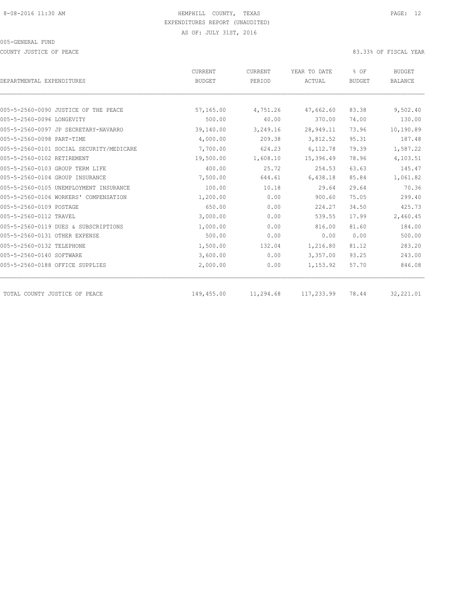COUNTY JUSTICE OF PEACE **83.33%** OF FISCAL YEAR

| DEPARTMENTAL EXPENDITURES                | CURRENT<br><b>BUDGET</b> | CURRENT<br>PERIOD | YEAR TO DATE<br>ACTUAL | % OF<br><b>BUDGET</b> | <b>BUDGET</b><br><b>BALANCE</b> |
|------------------------------------------|--------------------------|-------------------|------------------------|-----------------------|---------------------------------|
|                                          |                          |                   |                        |                       |                                 |
| 005-5-2560-0090 JUSTICE OF THE PEACE     | 57,165.00                | 4,751.26          | 47,662.60              | 83.38                 | 9,502.40                        |
| 005-5-2560-0096 LONGEVITY                | 500.00                   | 40.00             | 370.00                 | 74.00                 | 130.00                          |
| 005-5-2560-0097 JP SECRETARY-NAVARRO     | 39,140.00                | 3,249.16          | 28,949.11              | 73.96                 | 10,190.89                       |
| 005-5-2560-0098 PART-TIME                | 4,000.00                 | 209.38            | 3,812.52               | 95.31                 | 187.48                          |
| 005-5-2560-0101 SOCIAL SECURITY/MEDICARE | 7,700.00                 | 624.23            | 6,112.78               | 79.39                 | 1,587.22                        |
| 005-5-2560-0102 RETIREMENT               | 19,500.00                | 1,608.10          | 15,396.49              | 78.96                 | 4,103.51                        |
| 005-5-2560-0103 GROUP TERM LIFE          | 400.00                   | 25.72             | 254.53                 | 63.63                 | 145.47                          |
| 005-5-2560-0104 GROUP INSURANCE          | 7,500.00                 | 644.61            | 6,438.18               | 85.84                 | 1,061.82                        |
| 005-5-2560-0105 UNEMPLOYMENT INSURANCE   | 100.00                   | 10.18             | 29.64                  | 29.64                 | 70.36                           |
| 005-5-2560-0106 WORKERS' COMPENSATION    | 1,200.00                 | 0.00              | 900.60                 | 75.05                 | 299.40                          |
| 005-5-2560-0109 POSTAGE                  | 650.00                   | 0.00              | 224.27                 | 34.50                 | 425.73                          |
| 005-5-2560-0112 TRAVEL                   | 3,000.00                 | 0.00              | 539.55                 | 17.99                 | 2,460.45                        |
| 005-5-2560-0119 DUES & SUBSCRIPTIONS     | 1,000.00                 | 0.00              | 816.00                 | 81.60                 | 184.00                          |
| 005-5-2560-0131 OTHER EXPENSE            | 500.00                   | 0.00              | 0.00                   | 0.00                  | 500.00                          |
| 005-5-2560-0132 TELEPHONE                | 1,500.00                 | 132.04            | 1,216.80               | 81.12                 | 283.20                          |
| 005-5-2560-0140 SOFTWARE                 | 3,600.00                 | 0.00              | 3,357.00               | 93.25                 | 243.00                          |
| 005-5-2560-0188 OFFICE SUPPLIES          | 2,000.00                 | 0.00              | 1,153.92               | 57.70                 | 846.08                          |
| TOTAL COUNTY JUSTICE OF PEACE            | 149,455.00               | 11,294.68         | 117,233.99             | 78.44                 | 32,221.01                       |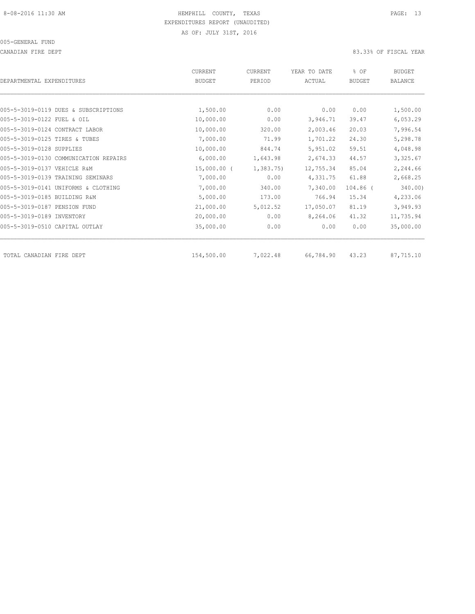CANADIAN FIRE DEPT 83.33% OF FISCAL YEAR

| DEPARTMENTAL EXPENDITURES             | CURRENT<br><b>BUDGET</b> | CURRENT<br>PERIOD | YEAR TO DATE<br>ACTUAL | % OF<br><b>BUDGET</b> | <b>BUDGET</b><br><b>BALANCE</b> |
|---------------------------------------|--------------------------|-------------------|------------------------|-----------------------|---------------------------------|
|                                       |                          |                   |                        |                       |                                 |
| 005-5-3019-0119 DUES & SUBSCRIPTIONS  | 1,500.00                 | 0.00              | 0.00                   | 0.00                  | 1,500.00                        |
| 005-5-3019-0122 FUEL & OIL            | 10,000.00                | 0.00              | 3,946.71               | 39.47                 | 6,053.29                        |
| 005-5-3019-0124 CONTRACT LABOR        | 10,000.00                | 320.00            | 2,003.46               | 20.03                 | 7,996.54                        |
| 005-5-3019-0125 TIRES & TUBES         | 7,000.00                 | 71.99             | 1,701.22               | 24.30                 | 5,298.78                        |
| 005-5-3019-0128 SUPPLIES              | 10,000.00                | 844.74            | 5,951.02               | 59.51                 | 4,048.98                        |
| 005-5-3019-0130 COMMUNICATION REPAIRS | 6,000.00                 | 1,643.98          | 2,674.33               | 44.57                 | 3,325.67                        |
| 005-5-3019-0137 VEHICLE R&M           | $15,000.00$ (            | 1,383.75          | 12,755.34              | 85.04                 | 2,244.66                        |
| 005-5-3019-0139 TRAINING SEMINARS     | 7,000.00                 | 0.00              | 4,331.75               | 61.88                 | 2,668.25                        |
| 005-5-3019-0141 UNIFORMS & CLOTHING   | 7,000.00                 | 340.00            | 7,340.00               | 104.86 (              | 340.00)                         |
| 005-5-3019-0185 BUILDING R&M          | 5,000.00                 | 173.00            | 766.94                 | 15.34                 | 4,233.06                        |
| 005-5-3019-0187 PENSION FUND          | 21,000.00                | 5,012.52          | 17,050.07              | 81.19                 | 3,949.93                        |
| 005-5-3019-0189 INVENTORY             | 20,000.00                | 0.00              | 8,264.06               | 41.32                 | 11,735.94                       |
| 005-5-3019-0510 CAPITAL OUTLAY        | 35,000.00                | 0.00              | 0.00                   | 0.00                  | 35,000.00                       |
| TOTAL CANADIAN FIRE DEPT              | 154,500.00               | 7,022.48          | 66,784.90              | 43.23                 | 87,715.10                       |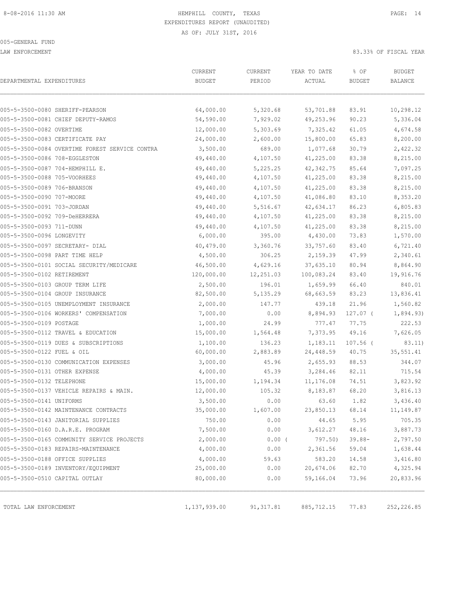LAW ENFORCEMENT 83.33% OF FISCAL YEAR

| DEPARTMENTAL EXPENDITURES                      | CURRENT<br><b>BUDGET</b> | CURRENT<br>PERIOD | YEAR TO DATE<br>ACTUAL | % OF<br><b>BUDGET</b> | <b>BUDGET</b><br>BALANCE |
|------------------------------------------------|--------------------------|-------------------|------------------------|-----------------------|--------------------------|
|                                                |                          |                   |                        |                       |                          |
| 005-5-3500-0080 SHERIFF-PEARSON                | 64,000.00                | 5,320.68          | 53,701.88              | 83.91                 | 10,298.12                |
| 005-5-3500-0081 CHIEF DEPUTY-RAMOS             | 54,590.00                | 7,929.02          | 49,253.96              | 90.23                 | 5,336.04                 |
| 005-5-3500-0082 OVERTIME                       | 12,000.00                | 5,303.69          | 7,325.42               | 61.05                 | 4,674.58                 |
| 005-5-3500-0083 CERTIFICATE PAY                | 24,000.00                | 2,600.00          | 15,800.00              | 65.83                 | 8,200.00                 |
| 005-5-3500-0084 OVERTIME FOREST SERVICE CONTRA | 3,500.00                 | 689.00            | 1,077.68               | 30.79                 | 2,422.32                 |
| 005-5-3500-0086 708-EGGLESTON                  | 49,440.00                | 4,107.50          | 41,225.00              | 83.38                 | 8,215.00                 |
| 005-5-3500-0087 704-HEMPHILL E.                | 49,440.00                | 5,225.25          | 42, 342.75             | 85.64                 | 7,097.25                 |
| 005-5-3500-0088 705-VOORHEES                   | 49,440.00                | 4,107.50          | 41,225.00              | 83.38                 | 8,215.00                 |
| 005-5-3500-0089 706-BRANSON                    | 49,440.00                | 4,107.50          | 41,225.00              | 83.38                 | 8,215.00                 |
| 005-5-3500-0090 707-MOORE                      | 49,440.00                | 4,107.50          | 41,086.80              | 83.10                 | 8,353.20                 |
| 005-5-3500-0091 703-JORDAN                     | 49,440.00                | 5,516.67          | 42,634.17              | 86.23                 | 6,805.83                 |
| 005-5-3500-0092 709-DeHERRERA                  | 49,440.00                | 4,107.50          | 41,225.00              | 83.38                 | 8,215.00                 |
| 005-5-3500-0093 711-DUNN                       | 49,440.00                | 4,107.50          | 41,225.00              | 83.38                 | 8,215.00                 |
| 005-5-3500-0096 LONGEVITY                      | 6,000.00                 | 395.00            | 4,430.00               | 73.83                 | 1,570.00                 |
| 005-5-3500-0097 SECRETARY- DIAL                | 40,479.00                | 3,360.76          | 33,757.60              | 83.40                 | 6,721.40                 |
| 005-5-3500-0098 PART TIME HELP                 | 4,500.00                 | 306.25            | 2,159.39               | 47.99                 | 2,340.61                 |
| 005-5-3500-0101 SOCIAL SECURITY/MEDICARE       | 46,500.00                | 4,629.16          | 37,635.10              | 80.94                 | 8,864.90                 |
| 005-5-3500-0102 RETIREMENT                     | 120,000.00               | 12,251.03         | 100,083.24             | 83.40                 | 19,916.76                |
| 005-5-3500-0103 GROUP TERM LIFE                | 2,500.00                 | 196.01            | 1,659.99               | 66.40                 | 840.01                   |
| 005-5-3500-0104 GROUP INSURANCE                | 82,500.00                | 5,135.29          | 68,663.59              | 83.23                 | 13,836.41                |
| 005-5-3500-0105 UNEMPLOYMENT INSURANCE         | 2,000.00                 | 147.77            | 439.18                 | 21.96                 | 1,560.82                 |
| 005-5-3500-0106 WORKERS' COMPENSATION          | 7,000.00                 | 0.00              | 8,894.93               | $127.07$ (            | 1,894.93)                |
| 005-5-3500-0109 POSTAGE                        | 1,000.00                 | 24.99             | 777.47                 | 77.75                 | 222.53                   |
| 005-5-3500-0112 TRAVEL & EDUCATION             | 15,000.00                | 1,564.48          | 7,373.95               | 49.16                 | 7,626.05                 |
| 005-5-3500-0119 DUES & SUBSCRIPTIONS           | 1,100.00                 | 136.23            | 1,183.11               | $107.56$ (            | 83.11)                   |
| 005-5-3500-0122 FUEL & OIL                     | 60,000.00                | 2,883.89          | 24,448.59              | 40.75                 | 35,551.41                |
| 005-5-3500-0130 COMMUNICATION EXPENSES         | 3,000.00                 | 45.96             | 2,655.93               | 88.53                 | 344.07                   |
| 005-5-3500-0131 OTHER EXPENSE                  | 4,000.00                 | 45.39             | 3,284.46               | 82.11                 | 715.54                   |
| 005-5-3500-0132 TELEPHONE                      | 15,000.00                | 1,194.34          | 11,176.08              | 74.51                 | 3,823.92                 |
| 005-5-3500-0137 VEHICLE REPAIRS & MAIN.        | 12,000.00                | 105.32            | 8,183.87               | 68.20                 | 3,816.13                 |
| 005-5-3500-0141 UNIFORMS                       | 3,500.00                 | 0.00              | 63.60                  | 1.82                  | 3,436.40                 |
| 005-5-3500-0142 MAINTENANCE CONTRACTS          | 35,000.00                | 1,607.00          | 23,850.13              | 68.14                 | 11,149.87                |
| 005-5-3500-0143 JANITORIAL SUPPLIES            | 750.00                   | 0.00              | 44.65                  | 5.95                  | 705.35                   |
| 005-5-3500-0160 D.A.R.E. PROGRAM               | 7,500.00                 | 0.00              | 3,612.27               | 48.16                 | 3,887.73                 |
| 005-5-3500-0165 COMMUNITY SERVICE PROJECTS     | 2,000.00                 | $0.00$ (          | 797.50)                | $39.88 -$             | 2,797.50                 |
| 005-5-3500-0183 REPAIRS-MAINTENANCE            | 4,000.00                 | 0.00              | 2,361.56               | 59.04                 | 1,638.44                 |
| 005-5-3500-0188 OFFICE SUPPLIES                | 4,000.00                 | 59.63             | 583.20                 | 14.58                 | 3,416.80                 |
| 005-5-3500-0189 INVENTORY/EQUIPMENT            | 25,000.00                | 0.00              | 20,674.06              | 82.70                 | 4,325.94                 |
| 005-5-3500-0510 CAPITAL OUTLAY                 | 80,000.00                | 0.00              | 59,166.04              | 73.96                 | 20,833.96                |
|                                                |                          |                   |                        |                       |                          |
| TOTAL LAW ENFORCEMENT                          | 1,137,939.00             | 91, 317.81        | 885,712.15             | 77.83                 | 252,226.85               |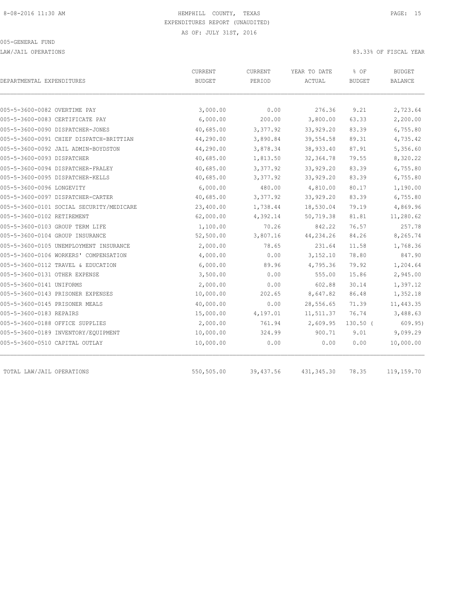LAW/JAIL OPERATIONS 83.33% OF FISCAL YEAR

| DEPARTMENTAL EXPENDITURES                | CURRENT<br><b>BUDGET</b> | CURRENT<br>PERIOD | YEAR TO DATE<br>ACTUAL | % OF<br><b>BUDGET</b> | <b>BUDGET</b><br><b>BALANCE</b> |
|------------------------------------------|--------------------------|-------------------|------------------------|-----------------------|---------------------------------|
| 005-5-3600-0082 OVERTIME PAY             |                          | 0.00              | 276.36                 | 9.21                  |                                 |
| 005-5-3600-0083 CERTIFICATE PAY          | 3,000.00<br>6,000.00     | 200.00            | 3,800.00               | 63.33                 | 2,723.64<br>2,200.00            |
| 005-5-3600-0090 DISPATCHER-JONES         | 40,685.00                | 3,377.92          | 33,929.20              | 83.39                 | 6,755.80                        |
| 005-5-3600-0091 CHIEF DISPATCH-BRITTIAN  | 44,290.00                | 3,890.84          | 39,554.58              | 89.31                 | 4,735.42                        |
| 005-5-3600-0092 JAIL ADMIN-BOYDSTON      | 44,290.00                | 3,878.34          | 38,933.40              | 87.91                 | 5,356.60                        |
| 005-5-3600-0093 DISPATCHER               | 40,685.00                | 1,813.50          | 32, 364.78             | 79.55                 | 8,320.22                        |
|                                          |                          |                   |                        | 83.39                 |                                 |
| 005-5-3600-0094 DISPATCHER-FRALEY        | 40,685.00                | 3,377.92          | 33,929.20              |                       | 6,755.80                        |
| 005-5-3600-0095 DISPATCHER-KELLS         | 40,685.00                | 3,377.92          | 33,929.20              | 83.39                 | 6,755.80                        |
| 005-5-3600-0096 LONGEVITY                | 6,000.00                 | 480.00            | 4,810.00               | 80.17                 | 1,190.00                        |
| 005-5-3600-0097 DISPATCHER-CARTER        | 40,685.00                | 3,377.92          | 33,929.20              | 83.39                 | 6,755.80                        |
| 005-5-3600-0101 SOCIAL SECURITY/MEDICARE | 23,400.00                | 1,738.44          | 18,530.04              | 79.19                 | 4,869.96                        |
| 005-5-3600-0102 RETIREMENT               | 62,000.00                | 4,392.14          | 50,719.38              | 81.81                 | 11,280.62                       |
| 005-5-3600-0103 GROUP TERM LIFE          | 1,100.00                 | 70.26             | 842.22                 | 76.57                 | 257.78                          |
| 005-5-3600-0104 GROUP INSURANCE          | 52,500.00                | 3,807.16          | 44, 234.26             | 84.26                 | 8,265.74                        |
| 005-5-3600-0105 UNEMPLOYMENT INSURANCE   | 2,000.00                 | 78.65             | 231.64                 | 11.58                 | 1,768.36                        |
| 005-5-3600-0106 WORKERS' COMPENSATION    | 4,000.00                 | 0.00              | 3, 152.10              | 78.80                 | 847.90                          |
| 005-5-3600-0112 TRAVEL & EDUCATION       | 6,000.00                 | 89.96             | 4,795.36               | 79.92                 | 1,204.64                        |
| 005-5-3600-0131 OTHER EXPENSE            | 3,500.00                 | 0.00              | 555.00                 | 15.86                 | 2,945.00                        |
| 005-5-3600-0141 UNIFORMS                 | 2,000.00                 | 0.00              | 602.88                 | 30.14                 | 1,397.12                        |
| 005-5-3600-0143 PRISONER EXPENSES        | 10,000.00                | 202.65            | 8,647.82               | 86.48                 | 1,352.18                        |
| 005-5-3600-0145 PRISONER MEALS           | 40,000.00                | 0.00              | 28,556.65              | 71.39                 | 11,443.35                       |
| 005-5-3600-0183 REPAIRS                  | 15,000.00                | 4,197.01          | 11,511.37              | 76.74                 | 3,488.63                        |
| 005-5-3600-0188 OFFICE SUPPLIES          | 2,000.00                 | 761.94            | 2,609.95               | $130.50$ (            | 609.95)                         |
| 005-5-3600-0189 INVENTORY/EQUIPMENT      | 10,000.00                | 324.99            | 900.71                 | 9.01                  | 9,099.29                        |
| 005-5-3600-0510 CAPITAL OUTLAY           | 10,000.00                | 0.00              | 0.00                   | 0.00                  | 10,000.00                       |
| TOTAL LAW/JAIL OPERATIONS                | 550,505.00               | 39,437.56         | 431, 345.30            | 78.35                 | 119,159.70                      |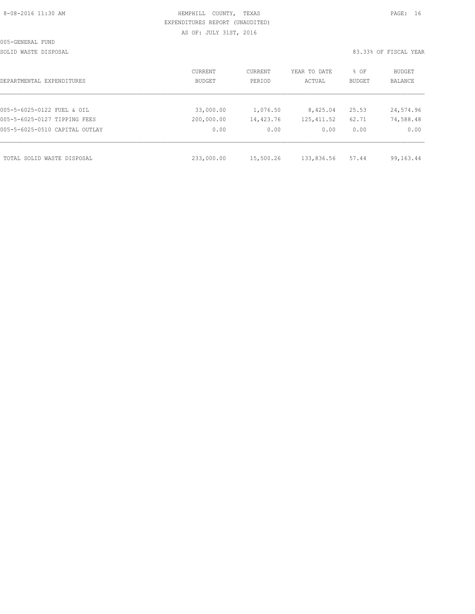| 8-08-2016 11:30 AM |  |  |
|--------------------|--|--|
|                    |  |  |

# HEMPHILL COUNTY, TEXAS **PAGE:** 16 EXPENDITURES REPORT (UNAUDITED) AS OF: JULY 31ST, 2016

SOLID WASTE DISPOSAL SOLID WASTE SERVER A SERVER AND SOLID WASTER THE SOLID WASTER SOLID WAS SERVER.

| DEPARTMENTAL EXPENDITURES      | CURRENT<br><b>BUDGET</b> | CURRENT<br>PERIOD | YEAR TO DATE<br>ACTUAL | % OF<br>BUDGET | BUDGET<br>BALANCE |
|--------------------------------|--------------------------|-------------------|------------------------|----------------|-------------------|
|                                |                          |                   |                        |                |                   |
| 005-5-6025-0122 FUEL & OIL     | 33,000.00                | 1,076.50          | 8,425.04               | 25.53          | 24,574.96         |
| 005-5-6025-0127 TIPPING FEES   | 200,000.00               | 14,423.76         | 125, 411.52            | 62.71          | 74,588.48         |
| 005-5-6025-0510 CAPITAL OUTLAY | 0.00                     | 0.00              | 0.00                   | 0.00           | 0.00              |
| TOTAL SOLID WASTE DISPOSAL     | 233,000.00               | 15,500.26         | 133,836.56             | 57.44          | 99,163.44         |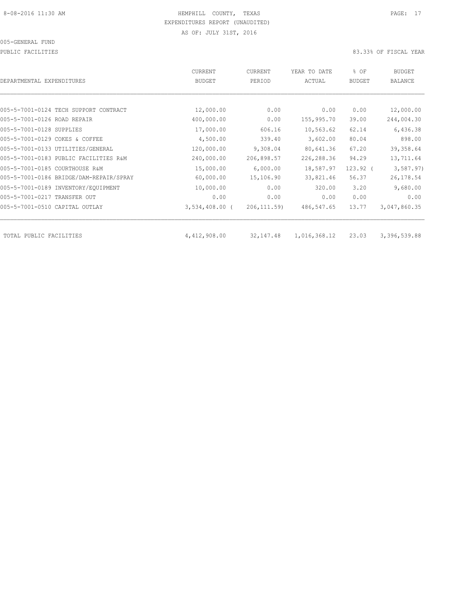PUBLIC FACILITIES 83.33% OF FISCAL YEAR

| DEPARTMENTAL EXPENDITURES               | CURRENT<br><b>BUDGET</b> | CURRENT<br>PERIOD | YEAR TO DATE<br>ACTUAL | % OF<br><b>BUDGET</b> | BUDGET<br><b>BALANCE</b> |
|-----------------------------------------|--------------------------|-------------------|------------------------|-----------------------|--------------------------|
|                                         |                          |                   |                        |                       |                          |
| 005-5-7001-0124 TECH SUPPORT CONTRACT   | 12,000.00                | 0.00              | 0.00                   | 0.00                  | 12,000.00                |
| 005-5-7001-0126 ROAD REPAIR             | 400,000.00               | 0.00              | 155,995.70             | 39.00                 | 244,004.30               |
| 005-5-7001-0128 SUPPLIES                | 17,000.00                | 606.16            | 10,563.62              | 62.14                 | 6,436.38                 |
| 005-5-7001-0129 COKES & COFFEE          | 4,500.00                 | 339.40            | 3,602.00               | 80.04                 | 898.00                   |
| 005-5-7001-0133 UTILITIES/GENERAL       | 120,000.00               | 9,308.04          | 80,641.36              | 67.20                 | 39, 358.64               |
| 005-5-7001-0183 PUBLIC FACILITIES R&M   | 240,000.00               | 206,898.57        | 226,288.36             | 94.29                 | 13,711.64                |
| 005-5-7001-0185 COURTHOUSE R&M          | 15,000.00                | 6,000.00          | 18,587.97              | $123.92$ (            | 3, 587.97)               |
| 005-5-7001-0186 BRIDGE/DAM-REPAIR/SPRAY | 60,000.00                | 15,106.90         | 33,821.46              | 56.37                 | 26, 178.54               |
| 005-5-7001-0189 INVENTORY/EQUIPMENT     | 10,000.00                | 0.00              | 320.00                 | 3.20                  | 9,680.00                 |
| 005-5-7001-0217 TRANSFER OUT            | 0.00                     | 0.00              | 0.00                   | 0.00                  | 0.00                     |
| 005-5-7001-0510 CAPITAL OUTLAY          | $3,534,408.00$ (         | 206, 111.59       | 486,547.65             | 13.77                 | 3,047,860.35             |
| TOTAL PUBLIC FACILITIES                 | 4,412,908.00             | 32,147.48         | 1,016,368.12           | 23.03                 | 3,396,539.88             |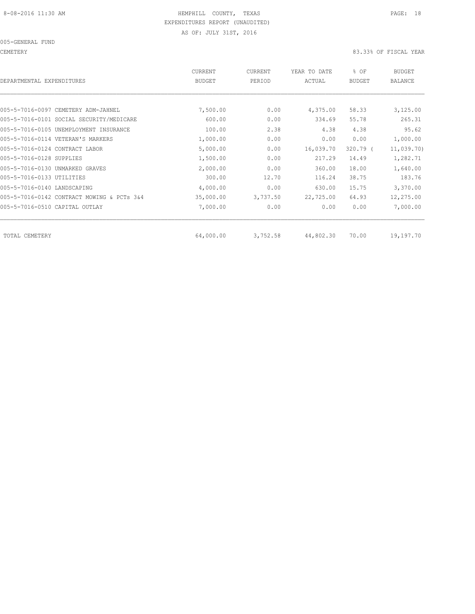005-GENERAL FUND

CEMETERY 83.33% OF FISCAL YEAR

| DEPARTMENTAL EXPENDITURES                  | CURRENT<br><b>BUDGET</b> | CURRENT<br>PERIOD | YEAR TO DATE<br>ACTUAL | % OF<br><b>BUDGET</b> | <b>BUDGET</b><br>BALANCE |
|--------------------------------------------|--------------------------|-------------------|------------------------|-----------------------|--------------------------|
|                                            |                          |                   |                        |                       |                          |
| 005-5-7016-0097 CEMETERY ADM-JAHNEL        | 7,500.00                 | 0.00              | 4,375.00               | 58.33                 | 3,125.00                 |
| 005-5-7016-0101 SOCIAL SECURITY/MEDICARE   | 600.00                   | 0.00              | 334.69                 | 55.78                 | 265.31                   |
| 005-5-7016-0105 UNEMPLOYMENT INSURANCE     | 100.00                   | 2.38              | 4.38                   | 4.38                  | 95.62                    |
| 005-5-7016-0114 VETERAN'S MARKERS          | 1,000.00                 | 0.00              | 0.00                   | 0.00                  | 1,000.00                 |
| 005-5-7016-0124 CONTRACT LABOR             | 5,000.00                 | 0.00              | 16,039.70              | $320.79$ (            | 11,039.70)               |
| 005-5-7016-0128 SUPPLIES                   | 1,500.00                 | 0.00              | 217.29                 | 14.49                 | 1,282.71                 |
| 005-5-7016-0130 UNMARKED GRAVES            | 2,000.00                 | 0.00              | 360.00                 | 18.00                 | 1,640.00                 |
| 005-5-7016-0133 UTILITIES                  | 300.00                   | 12.70             | 116.24                 | 38.75                 | 183.76                   |
| 005-5-7016-0140 LANDSCAPING                | 4,000.00                 | 0.00              | 630.00                 | 15.75                 | 3,370.00                 |
| 005-5-7016-0142 CONTRACT MOWING & PCTs 3&4 | 35,000.00                | 3,737.50          | 22,725.00              | 64.93                 | 12,275.00                |
| 005-5-7016-0510 CAPITAL OUTLAY             | 7,000.00                 | 0.00              | 0.00                   | 0.00                  | 7,000.00                 |
| TOTAL CEMETERY                             | 64,000.00                | 3,752.58          | 44,802.30              | 70.00                 | 19,197.70                |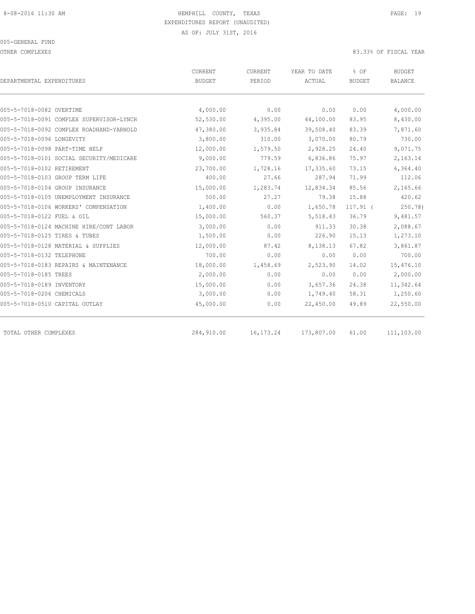OTHER COMPLEXES 83.33% OF FISCAL YEAR

|                                          | CURRENT       | CURRENT     | YEAR TO DATE | % OF          | <b>BUDGET</b> |  |
|------------------------------------------|---------------|-------------|--------------|---------------|---------------|--|
| DEPARTMENTAL EXPENDITURES                | <b>BUDGET</b> | PERIOD      | ACTUAL       | <b>BUDGET</b> | BALANCE       |  |
|                                          |               |             |              |               |               |  |
| 005-5-7018-0082 OVERTIME                 | 4,000.00      | 0.00        | 0.00         | 0.00          | 4,000.00      |  |
| 005-5-7018-0091 COMPLEX SUPERVISOR-LYNCH | 52,530.00     | 4,395.00    | 44,100.00    | 83.95         | 8,430.00      |  |
| 005-5-7018-0092 COMPLEX ROADHAND-YARNOLD | 47,380.00     | 3,935.84    | 39,508.40    | 83.39         | 7,871.60      |  |
| 005-5-7018-0096 LONGEVITY                | 3,800.00      | 310.00      | 3,070.00     | 80.79         | 730.00        |  |
| 005-5-7018-0098 PART-TIME HELP           | 12,000.00     | 1,579.50    | 2,928.25     | 24.40         | 9,071.75      |  |
| 005-5-7018-0101 SOCIAL SECURITY/MEDICARE | 9,000.00      | 779.59      | 6,836.86     | 75.97         | 2,163.14      |  |
| 005-5-7018-0102 RETIREMENT               | 23,700.00     | 1,728.16    | 17,335.60    | 73.15         | 6,364.40      |  |
| 005-5-7018-0103 GROUP TERM LIFE          | 400.00        | 27.66       | 287.94       | 71.99         | 112.06        |  |
| 005-5-7018-0104 GROUP INSURANCE          | 15,000.00     | 1,283.74    | 12,834.34    | 85.56         | 2,165.66      |  |
| 005-5-7018-0105 UNEMPLOYMENT INSURANCE   | 500.00        | 27.27       | 79.38        | 15.88         | 420.62        |  |
| 005-5-7018-0106 WORKERS' COMPENSATION    | 1,400.00      | 0.00        | 1,650.78     | $117.91$ (    | 250.78)       |  |
| 005-5-7018-0122 FUEL & OIL               | 15,000.00     | 560.37      | 5,518.43     | 36.79         | 9,481.57      |  |
| 005-5-7018-0124 MACHINE HIRE/CONT LABOR  | 3,000.00      | 0.00        | 911.33       | 30.38         | 2,088.67      |  |
| 005-5-7018-0125 TIRES & TUBES            | 1,500.00      | 0.00        | 226.90       | 15.13         | 1,273.10      |  |
| 005-5-7018-0128 MATERIAL & SUPPLIES      | 12,000.00     | 87.42       | 8,138.13     | 67.82         | 3,861.87      |  |
| 005-5-7018-0132 TELEPHONE                | 700.00        | 0.00        | 0.00         | 0.00          | 700.00        |  |
| 005-5-7018-0183 REPAIRS & MAINTENANCE    | 18,000.00     | 1,458.69    | 2,523.90     | 14.02         | 15,476.10     |  |
| 005-5-7018-0185 TREES                    | 2,000.00      | 0.00        | 0.00         | 0.00          | 2,000.00      |  |
| 005-5-7018-0189 INVENTORY                | 15,000.00     | 0.00        | 3,657.36     | 24.38         | 11,342.64     |  |
| 005-5-7018-0206 CHEMICALS                | 3,000.00      | 0.00        | 1,749.40     | 58.31         | 1,250.60      |  |
| 005-5-7018-0510 CAPITAL OUTLAY           | 45,000.00     | 0.00        | 22,450.00    | 49.89         | 22,550.00     |  |
| TOTAL OTHER COMPLEXES                    | 284,910.00    | 16, 173. 24 | 173,807.00   | 61.00         | 111,103.00    |  |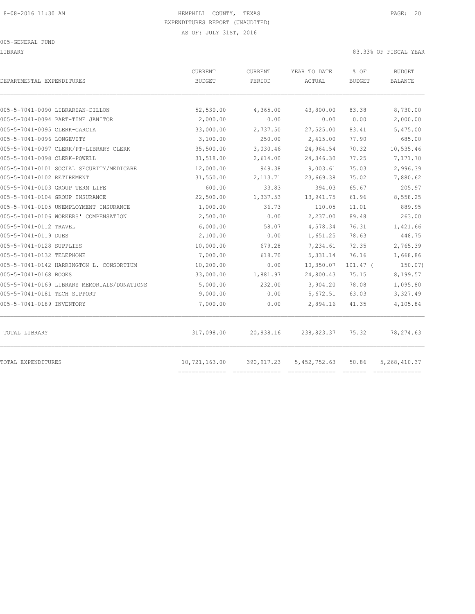LIBRARY 83.33% OF FISCAL YEAR

| DEPARTMENTAL EXPENDITURES                   | CURRENT<br><b>BUDGET</b> | <b>CURRENT</b><br>PERIOD | YEAR TO DATE<br>ACTUAL | % OF<br><b>BUDGET</b> | BUDGET<br>BALANCE |
|---------------------------------------------|--------------------------|--------------------------|------------------------|-----------------------|-------------------|
| 005-5-7041-0090 LIBRARIAN-DILLON            | 52,530.00                | 4,365.00                 | 43,800.00              | 83.38                 | 8,730.00          |
| 005-5-7041-0094 PART-TIME JANITOR           | 2,000.00                 | 0.00                     | 0.00                   | 0.00                  | 2,000.00          |
| 005-5-7041-0095 CLERK-GARCIA                | 33,000.00                | 2,737.50                 | 27,525.00              | 83.41                 | 5,475.00          |
| 005-5-7041-0096 LONGEVITY                   | 3,100.00                 | 250.00                   | 2,415.00               | 77.90                 | 685.00            |
| 005-5-7041-0097 CLERK/PT-LIBRARY CLERK      | 35,500.00                | 3,030.46                 | 24,964.54              | 70.32                 | 10,535.46         |
| 005-5-7041-0098 CLERK-POWELL                | 31,518.00                | 2,614.00                 | 24,346.30              | 77.25                 | 7,171.70          |
| 005-5-7041-0101 SOCIAL SECURITY/MEDICARE    | 12,000.00                | 949.38                   | 9,003.61               | 75.03                 | 2,996.39          |
| 005-5-7041-0102 RETIREMENT                  | 31,550.00                | 2, 113.71                | 23,669.38              | 75.02                 | 7,880.62          |
| 005-5-7041-0103 GROUP TERM LIFE             | 600.00                   | 33.83                    | 394.03                 | 65.67                 | 205.97            |
| 005-5-7041-0104 GROUP INSURANCE             | 22,500.00                | 1,337.53                 | 13,941.75              | 61.96                 | 8,558.25          |
| 005-5-7041-0105 UNEMPLOYMENT INSURANCE      | 1,000.00                 | 36.73                    | 110.05                 | 11.01                 | 889.95            |
| 005-5-7041-0106 WORKERS' COMPENSATION       | 2,500.00                 | 0.00                     | 2,237.00               | 89.48                 | 263.00            |
| 005-5-7041-0112 TRAVEL                      | 6,000.00                 | 58.07                    | 4,578.34               | 76.31                 | 1,421.66          |
| 005-5-7041-0119 DUES                        | 2,100.00                 | 0.00                     | 1,651.25               | 78.63                 | 448.75            |
| 005-5-7041-0128 SUPPLIES                    | 10,000.00                | 679.28                   | 7,234.61               | 72.35                 | 2,765.39          |
| 005-5-7041-0132 TELEPHONE                   | 7,000.00                 | 618.70                   | 5,331.14               | 76.16                 | 1,668.86          |
| 005-5-7041-0142 HARRINGTON L. CONSORTIUM    | 10,200.00                | 0.00                     | 10,350.07              | $101.47$ (            | 150.07            |
| 005-5-7041-0168 BOOKS                       | 33,000.00                | 1,881.97                 | 24,800.43              | 75.15                 | 8,199.57          |
| 005-5-7041-0169 LIBRARY MEMORIALS/DONATIONS | 5,000.00                 | 232.00                   | 3,904.20               | 78.08                 | 1,095.80          |
| 005-5-7041-0181 TECH SUPPORT                | 9,000.00                 | 0.00                     | 5,672.51               | 63.03                 | 3,327.49          |
| 005-5-7041-0189 INVENTORY                   | 7,000.00                 | 0.00                     | 2,894.16               | 41.35                 | 4,105.84          |
| TOTAL LIBRARY                               | 317,098.00               | 20,938.16                | 238,823.37             | 75.32                 | 78,274.63         |
| TOTAL EXPENDITURES                          | 10,721,163.00            | 390,917.23               | 5,452,752.63           | 50.86                 | 5, 268, 410.37    |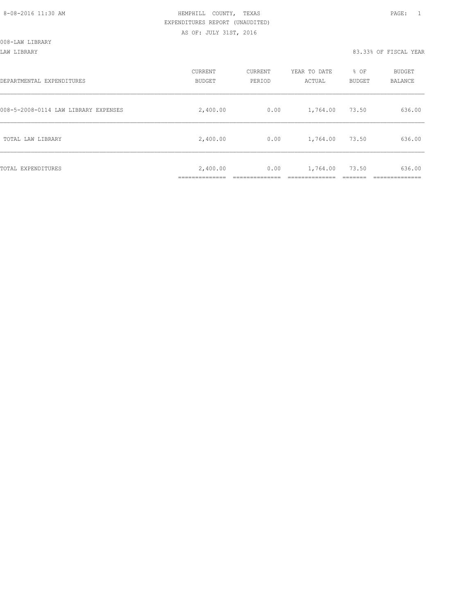| DEPARTMENTAL EXPENDITURES            | CURRENT<br><b>BUDGET</b>   | CURRENT<br>PERIOD | YEAR TO DATE<br>ACTUAL | % OF<br><b>BUDGET</b> | <b>BUDGET</b><br>BALANCE |
|--------------------------------------|----------------------------|-------------------|------------------------|-----------------------|--------------------------|
| 008-5-2008-0114 LAW LIBRARY EXPENSES | 2,400.00                   | 0.00              | 1,764.00               | 73.50                 | 636.00                   |
| TOTAL LAW LIBRARY                    | 2,400.00                   | 0.00              | 1,764.00               | 73.50                 | 636.00                   |
| TOTAL EXPENDITURES                   | 2,400.00<br>______________ | 0.00              | 1,764.00               | 73.50                 | 636.00                   |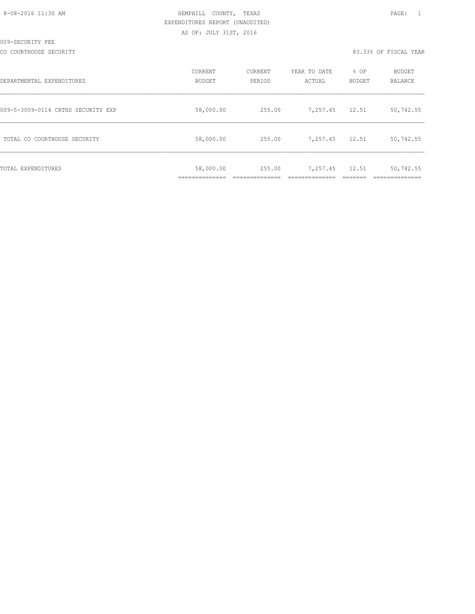|  | 8-08-2016 11:30 AM |  |
|--|--------------------|--|
|  |                    |  |

# HEMPHILL COUNTY, TEXAS **12:30 AM HEMPHILL** COUNTY, TEXAS EXPENDITURES REPORT (UNAUDITED) AS OF: JULY 31ST, 2016

CO COURTHOUSE SECURITY CONSULTED AND RESOLUTION OF THE SECOND RELATIONS AND RELATIONS OF SECOND VEAR

| DEPARTMENTAL EXPENDITURES          | CURRENT<br>BUDGET | CURRENT<br>PERIOD | YEAR TO DATE<br>ACTUAL | % OF<br><b>BUDGET</b> | <b>BUDGET</b><br>BALANCE |
|------------------------------------|-------------------|-------------------|------------------------|-----------------------|--------------------------|
| 009-5-3009-0114 CRTHS SECURITY EXP | 58,000.00         | 255.00            | 7,257.45               | 12.51                 | 50,742.55                |
| TOTAL CO COURTHOUSE SECURITY       | 58,000.00         | 255.00            | 7,257.45               | 12.51                 | 50,742.55                |
| TOTAL EXPENDITURES                 | 58,000.00         | 255.00            | 7,257.45               | 12.51                 | 50,742.55                |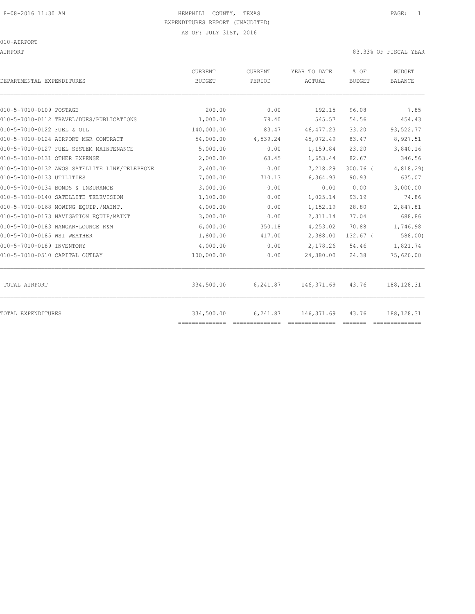# 8-08-2016 11:30 AM HEMPHILL COUNTY, TEXAS PAGE: 1 EXPENDITURES REPORT (UNAUDITED)

AS OF: JULY 31ST, 2016

010-AIRPORT

AIRPORT 83.33% OF FISCAL YEAR

| DEPARTMENTAL EXPENDITURES                     | <b>CURRENT</b><br><b>BUDGET</b> | CURRENT<br>PERIOD | YEAR TO DATE<br>ACTUAL | % OF<br><b>BUDGET</b> | <b>BUDGET</b><br><b>BALANCE</b> |
|-----------------------------------------------|---------------------------------|-------------------|------------------------|-----------------------|---------------------------------|
|                                               |                                 |                   |                        |                       |                                 |
| 010-5-7010-0109 POSTAGE                       | 200.00                          | 0.00              | 192.15                 | 96.08                 | 7.85                            |
| 010-5-7010-0112 TRAVEL/DUES/PUBLICATIONS      | 1,000.00                        | 78.40             | 545.57                 | 54.56                 | 454.43                          |
| 010-5-7010-0122 FUEL & OIL                    | 140,000.00                      | 83.47             | 46, 477.23             | 33.20                 | 93,522.77                       |
| 010-5-7010-0124 AIRPORT MGR CONTRACT          | 54,000.00                       | 4,539.24          | 45,072.49              | 83.47                 | 8,927.51                        |
| 010-5-7010-0127 FUEL SYSTEM MAINTENANCE       | 5,000.00                        | 0.00              | 1,159.84               | 23.20                 | 3,840.16                        |
| 010-5-7010-0131 OTHER EXPENSE                 | 2,000.00                        | 63.45             | 1,653.44               | 82.67                 | 346.56                          |
| 010-5-7010-0132 AWOS SATELLITE LINK/TELEPHONE | 2,400.00                        | 0.00              | 7,218.29               | $300.76$ (            | 4,818.29)                       |
| 010-5-7010-0133 UTILITIES                     | 7,000.00                        | 710.13            | 6,364.93               | 90.93                 | 635.07                          |
| 010-5-7010-0134 BONDS & INSURANCE             | 3,000.00                        | 0.00              | 0.00                   | 0.00                  | 3,000.00                        |
| 010-5-7010-0140 SATELLITE TELEVISION          | 1,100.00                        | 0.00              | 1,025.14               | 93.19                 | 74.86                           |
| 010-5-7010-0168 MOWING EOUIP./MAINT.          | 4,000.00                        | 0.00              | 1,152.19               | 28.80                 | 2,847.81                        |
| 010-5-7010-0173 NAVIGATION EQUIP/MAINT        | 3,000.00                        | 0.00              | 2,311.14               | 77.04                 | 688.86                          |
| 010-5-7010-0183 HANGAR-LOUNGE R&M             | 6,000.00                        | 350.18            | 4,253.02               | 70.88                 | 1,746.98                        |
| 010-5-7010-0185 WSI WEATHER                   | 1,800.00                        | 417.00            | 2,388.00               | $132.67$ (            | 588.00                          |
| 010-5-7010-0189 INVENTORY                     | 4,000.00                        | 0.00              | 2,178.26               | 54.46                 | 1,821.74                        |
| 010-5-7010-0510 CAPITAL OUTLAY                | 100,000.00                      | 0.00              | 24,380.00              | 24.38                 | 75,620.00                       |
| TOTAL AIRPORT                                 | 334,500.00                      | 6,241.87          | 146,371.69             | 43.76                 | 188, 128.31                     |
| <b>TOTAL EXPENDITURES</b>                     | 334,500.00<br>==============    | 6,241.87          | 146, 371.69            | 43.76                 | 188, 128.31                     |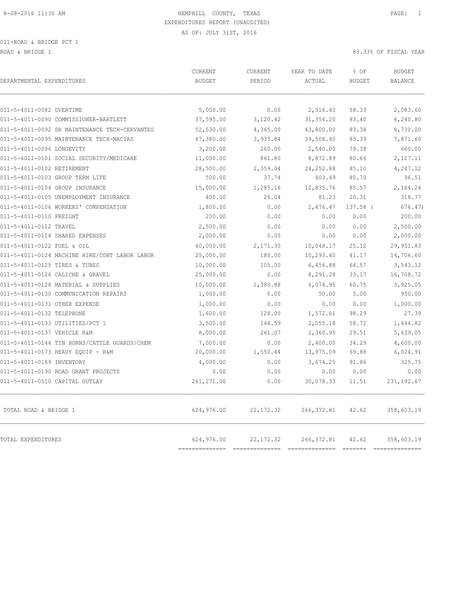011-ROAD & BRIDGE PCT 1

ROAD & BRIDGE 1 83.33% OF FISCAL YEAR

| DEPARTMENTAL EXPENDITURES                     | CURRENT<br><b>BUDGET</b>  | CURRENT<br>PERIOD | YEAR TO DATE<br>ACTUAL   | % OF<br><b>BUDGET</b> | <b>BUDGET</b><br><b>BALANCE</b> |
|-----------------------------------------------|---------------------------|-------------------|--------------------------|-----------------------|---------------------------------|
| 011-5-4011-0082 OVERTIME                      | 5,000.00                  | 0.00              | 2,916.40                 | 58.33                 | 2,083.60                        |
| 011-5-4011-0090 COMMISSIONER-BARTLETT         | 37,595.00                 | 3,120.42          | 31, 354.20               | 83.40                 | 6,240.80                        |
| 011-5-4011-0092 SR MAINTENANCE TECH-CERVANTES | 52,530.00                 | 4,365.00          | 43,800.00                | 83.38                 | 8,730.00                        |
| 011-5-4011-0095 MAINTENANCE TECH-MACIAS       | 47,380.00                 | 3,935.84          | 39,508.40                | 83.39                 | 7,871.60                        |
| 011-5-4011-0096 LONGEVITY                     | 3,200.00                  | 260.00            | 2,540.00                 | 79.38                 | 660.00                          |
| 011-5-4011-0101 SOCIAL SECURITY/MEDICARE      | 11,000.00                 | 861.80            | 8,872.89                 | 80.66                 | 2,127.11                        |
| 011-5-4011-0102 RETIREMENT                    | 28,500.00                 | 2,359.04          | 24, 252.88               | 85.10                 | 4,247.12                        |
| 011-5-4011-0103 GROUP TERM LIFE               | 500.00                    | 37.74             | 403.49                   | 80.70                 | 96.51                           |
| 011-5-4011-0104 GROUP INSURANCE               | 15,000.00                 | 1,285.16          | 12,835.76                | 85.57                 | 2,164.24                        |
| 011-5-4011-0105 UNEMPLOYMENT INSURANCE        | 400.00                    | 26.04             | 81.23                    | 20.31                 | 318.77                          |
| 011-5-4011-0106 WORKERS' COMPENSATION         | 1,800.00                  | 0.00              | 2,476.47                 | 137.58 (              | 676.47                          |
| 011-5-4011-0110 FREIGHT                       | 200.00                    | 0.00              | 0.00                     | 0.00                  | 200.00                          |
| 011-5-4011-0112 TRAVEL                        | 2,500.00                  | 0.00              | 0.00                     | 0.00                  | 2,500.00                        |
| 011-5-4011-0114 SHARED EXPENSES               | 2,000.00                  | 0.00              | 0.00                     | 0.00                  | 2,000.00                        |
| 011-5-4011-0122 FUEL & OIL                    | 40,000.00                 | 2,171.30          | 10,048.17                | 25.12                 | 29,951.83                       |
| 011-5-4011-0124 MACHINE HIRE/CONT LABOR LABOR | 25,000.00                 | 180.00            | 10,293.40                | 41.17                 | 14,706.60                       |
| 011-5-4011-0125 TIRES & TUBES                 | 10,000.00                 | 105.00            | 6,456.88                 | 64.57                 | 3,543.12                        |
| 011-5-4011-0126 CALICHE & GRAVEL              | 25,000.00                 | 0.00              | 8,291.28                 | 33.17                 | 16,708.72                       |
| 011-5-4011-0128 MATERIAL & SUPPLIES           | 10,000.00                 | 1,380.88          | 6,074.95                 | 60.75                 | 3,925.05                        |
| 011-5-4011-0130 COMMUNICATION REPAIRS         | 1,000.00                  | 0.00              | 50.00                    | 5.00                  | 950.00                          |
| 011-5-4011-0131 OTHER EXPENSE                 | 1,000.00                  | 0.00              | 0.00                     | 0.00                  | 1,000.00                        |
| 011-5-4011-0132 TELEPHONE                     | 1,600.00                  | 128.00            | 1,572.61                 | 98.29                 | 27.39                           |
| 011-5-4011-0133 UTILITIES/PCT 1               | 3,500.00                  | 144.59            | 2,055.18                 | 58.72                 | 1,444.82                        |
| 011-5-4011-0137 VEHICLE R&M                   | 8,000.00                  | 261.07            | 2,360.95                 | 29.51                 | 5,639.05                        |
| 011-5-4011-0144 TIN HORNS/CATTLE GUARDS/CHEM  | 7,000.00                  | 0.00              | 2,400.00                 | 34.29                 | 4,600.00                        |
| 011-5-4011-0173 HEAVY EQUIP - R&M             | 20,000.00                 | 1,550.44          | 13,975.09                | 69.88                 | 6,024.91                        |
| 011-5-4011-0189 INVENTORY                     | 4,000.00                  | 0.00              | 3,674.25                 | 91.86                 | 325.75                          |
| 011-5-4011-0190 ROAD GRANT PROJECTS           | 0.00                      | 0.00              | 0.00                     | 0.00                  | 0.00                            |
| 011-5-4011-0510 CAPITAL OUTLAY                | 261,271.00                | 0.00              | 30,078.33                | 11.51                 | 231, 192.67                     |
| TOTAL ROAD & BRIDGE 1                         | 624,976.00                | 22, 172.32        | 266, 372.81              | 42.62                 | 358,603.19                      |
| TOTAL EXPENDITURES                            | 624,976.00<br>----------- | 22, 172.32        | 266, 372.81<br>========= | 42.62<br>===== ====== | 358,603.19<br>$= 22222222222$   |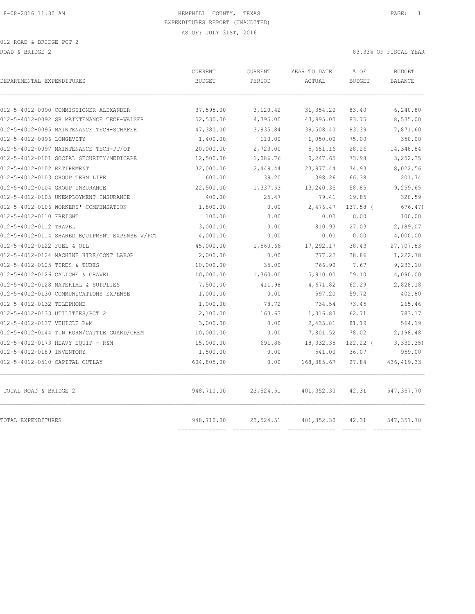012-ROAD & BRIDGE PCT 2 ROAD & BRIDGE 2 83.33% OF FISCAL YEAR

| DEPARTMENTAL EXPENDITURES                                                            | <b>CURRENT</b><br><b>BUDGET</b> | <b>CURRENT</b><br>PERIOD | YEAR TO DATE<br>ACTUAL | % OF<br><b>BUDGET</b> | <b>BUDGET</b><br><b>BALANCE</b> |
|--------------------------------------------------------------------------------------|---------------------------------|--------------------------|------------------------|-----------------------|---------------------------------|
|                                                                                      |                                 |                          |                        |                       |                                 |
| 012-5-4012-0090 COMMISSIONER-ALEXANDER<br>012-5-4012-0092 SR MAINTENANCE TECH-WALSER | 37,595.00                       | 3,120.42                 | 31, 354.20             | 83.40<br>83.75        | 6,240.80<br>8,535.00            |
|                                                                                      | 52,530.00                       | 4,395.00                 | 43,995.00              |                       |                                 |
| 012-5-4012-0095 MAINTENANCE TECH-SCHAFER<br>012-5-4012-0096 LONGEVITY                | 47,380.00                       | 3,935.84<br>110.00       | 39,508.40<br>1,050.00  | 83.39<br>75.00        | 7,871.60<br>350.00              |
|                                                                                      | 1,400.00                        |                          |                        | 28.26                 |                                 |
| 012-5-4012-0097 MAINTENANCE TECH-PT/OT<br>012-5-4012-0101 SOCIAL SECURITY/MEDICARE   | 20,000.00                       | 2,723.00                 | 5,651.16<br>9,247.65   | 73.98                 | 14,348.84<br>3,252.35           |
|                                                                                      | 12,500.00                       | 1,086.76                 |                        |                       |                                 |
| 012-5-4012-0102 RETIREMENT<br>012-5-4012-0103 GROUP TERM LIFE                        | 32,000.00<br>600.00             | 2,449.44<br>39.20        | 23, 977.44<br>398.26   | 74.93<br>66.38        | 8,022.56<br>201.74              |
| 012-5-4012-0104 GROUP INSURANCE                                                      | 22,500.00                       | 1,337.53                 | 13,240.35              | 58.85                 | 9,259.65                        |
| 012-5-4012-0105 UNEMPLOYMENT INSURANCE                                               | 400.00                          | 25.47                    | 79.41                  | 19.85                 | 320.59                          |
| 012-5-4012-0106 WORKERS' COMPENSATION                                                | 1,800.00                        | 0.00                     | 2,476.47               | 137.58 (              | 676.47                          |
| 012-5-4012-0110 FREIGHT                                                              | 100.00                          | 0.00                     | 0.00                   | 0.00                  | 100.00                          |
| 012-5-4012-0112 TRAVEL                                                               | 3,000.00                        | 0.00                     | 810.93                 | 27.03                 | 2,189.07                        |
| 012-5-4012-0114 SHARED EQUIPMENT EXPENSE W/PCT                                       | 4,000.00                        | 0.00                     | 0.00                   | 0.00                  | 4,000.00                        |
| 012-5-4012-0122 FUEL & OIL                                                           | 45,000.00                       | 1,560.66                 | 17,292.17              | 38.43                 | 27,707.83                       |
| 012-5-4012-0124 MACHINE HIRE/CONT LABOR                                              | 2,000.00                        | 0.00                     | 777.22                 | 38.86                 | 1,222.78                        |
| 012-5-4012-0125 TIRES & TUBES                                                        | 10,000.00                       | 35.00                    | 766.90                 | 7.67                  | 9,233.10                        |
| 012-5-4012-0126 CALICHE & GRAVEL                                                     | 10,000.00                       | 1,360.00                 | 5,910.00               | 59.10                 | 4,090.00                        |
| 012-5-4012-0128 MATERIAL & SUPPLIES                                                  | 7,500.00                        | 411.98                   | 4,671.82               | 62.29                 | 2,828.18                        |
| 012-5-4012-0130 COMMUNICATIONS EXPENSE                                               | 1,000.00                        | 0.00                     | 597.20                 | 59.72                 | 402.80                          |
| 012-5-4012-0132 TELEPHONE                                                            | 1,000.00                        | 78.72                    | 734.54                 | 73.45                 | 265.46                          |
| 012-5-4012-0133 UTILITIES/PCT 2                                                      | 2,100.00                        | 163.63                   | 1,316.83               | 62.71                 | 783.17                          |
| 012-5-4012-0137 VEHICLE R&M                                                          | 3,000.00                        | 0.00                     | 2,435.81               | 81.19                 | 564.19                          |
| 012-5-4012-0144 TIN HORN/CATTLE GUARD/CHEM                                           | 10,000.00                       | 0.00                     | 7,801.52               | 78.02                 | 2,198.48                        |
| 012-5-4012-0173 HEAVY EOUIP - R&M                                                    | 15,000.00                       | 691.86                   | 18, 332.35             | $122.22$ (            | 3,332.35)                       |
| 012-5-4012-0189 INVENTORY                                                            | 1,500.00                        | 0.00                     | 541.00                 | 36.07                 | 959.00                          |
| 012-5-4012-0510 CAPITAL OUTLAY                                                       | 604,805.00                      | 0.00                     | 168, 385.67            | 27.84                 | 436, 419.33                     |
| TOTAL ROAD & BRIDGE 2                                                                | 948,710.00                      | 23,524.51                | 401, 352.30            | 42.31                 | 547,357.70                      |
| TOTAL EXPENDITURES                                                                   | 948,710.00<br>===========       | 23,524.51                | 401,352.30             | 42.31                 | 547,357.70<br>-----------       |
|                                                                                      |                                 |                          |                        |                       |                                 |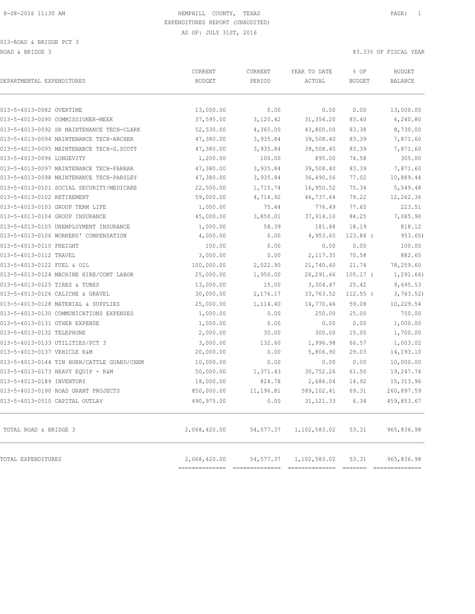013-ROAD & BRIDGE PCT 3 ROAD & BRIDGE 3 83.33% OF FISCAL YEAR

| DEPARTMENTAL EXPENDITURES                  | <b>CURRENT</b><br><b>BUDGET</b> | <b>CURRENT</b><br>PERIOD | YEAR TO DATE<br>ACTUAL | % OF<br><b>BUDGET</b> | <b>BUDGET</b><br><b>BALANCE</b> |
|--------------------------------------------|---------------------------------|--------------------------|------------------------|-----------------------|---------------------------------|
| 013-5-4013-0082 OVERTIME                   | 13,000.00                       | 0.00                     | 0.00                   | 0.00                  | 13,000.00                       |
| 013-5-4013-0090 COMMISSIONER-MEEK          | 37,595.00                       | 3,120.42                 | 31,354.20              | 83.40                 | 6,240.80                        |
| 013-5-4013-0092 SR MAINTENANCE TECH-CLARK  | 52,530.00                       | 4,365.00                 | 43,800.00              | 83.38                 | 8,730.00                        |
| 013-5-4013-0094 MAINTENANCE TECH-ARCHER    | 47,380.00                       | 3,935.84                 | 39,508.40              | 83.39                 | 7,871.60                        |
| 013-5-4013-0095 MAINTENANCE TECH-G.SCOTT   | 47,380.00                       | 3,935.84                 | 39,508.40              | 83.39                 | 7,871.60                        |
| 013-5-4013-0096 LONGEVITY                  | 1,200.00                        | 100.00                   | 895.00                 | 74.58                 | 305.00                          |
| 013-5-4013-0097 MAINTENANCE TECH-FARRAR    | 47,380.00                       | 3,935.84                 | 39,508.40              | 83.39                 | 7,871.60                        |
| 013-5-4013-0098 MAINTENANCE TECH-PARSLEY   | 47,380.00                       | 3,935.84                 | 36,490.56              | 77.02                 | 10,889.44                       |
| 013-5-4013-0101 SOCIAL SECURITY/MEDICARE   | 22,500.00                       | 1,715.74                 | 16,950.52              | 75.34                 | 5,549.48                        |
| 013-5-4013-0102 RETIREMENT                 | 59,000.00                       | 4,714.92                 | 46,737.64              | 79.22                 | 12,262.36                       |
| 013-5-4013-0103 GROUP TERM LIFE            | 1,000.00                        | 75.44                    | 776.49                 | 77.65                 | 223.51                          |
| 013-5-4013-0104 GROUP INSURANCE            | 45,000.00                       | 3,850.01                 | 37, 914.10             | 84.25                 | 7,085.90                        |
| 013-5-4013-0105 UNEMPLOYMENT INSURANCE     | 1,000.00                        | 58.39                    | 181.88                 | 18.19                 | 818.12                          |
| 013-5-4013-0106 WORKERS' COMPENSATION      | 4,000.00                        | 0.00                     | 4,953.65               | 123.84 (              | 953.65)                         |
| 013-5-4013-0110 FREIGHT                    | 100.00                          | 0.00                     | 0.00                   | 0.00                  | 100.00                          |
| 013-5-4013-0112 TRAVEL                     | 3,000.00                        | 0.00                     | 2, 117.35              | 70.58                 | 882.65                          |
| 013-5-4013-0122 FUEL & OIL                 | 100,000.00                      | 2,022.90                 | 21,740.40              | 21.74                 | 78,259.60                       |
| 013-5-4013-0124 MACHINE HIRE/CONT LABOR    | 25,000.00                       | 1,950.00                 | 26,291.66              | $105.17$ (            | 1,291.66                        |
| 013-5-4013-0125 TIRES & TUBES              | 13,000.00                       | 15.00                    | 3,304.47               | 25.42                 | 9,695.53                        |
| 013-5-4013-0126 CALICHE & GRAVEL           | 30,000.00                       | 2,176.17                 | 33,763.52              | $112.55$ (            | 3,763.52)                       |
| 013-5-4013-0128 MATERIAL & SUPPLIES        | 25,000.00                       | 1,114.40                 | 14,770.46              | 59.08                 | 10,229.54                       |
| 013-5-4013-0130 COMMUNICATIONS EXPENSES    | 1,000.00                        | 0.00                     | 250.00                 | 25.00                 | 750.00                          |
| 013-5-4013-0131 OTHER EXPENSE              | 1,000.00                        | 0.00                     | 0.00                   | 0.00                  | 1,000.00                        |
| 013-5-4013-0132 TELEPHONE                  | 2,000.00                        | 30.00                    | 300.00                 | 15.00                 | 1,700.00                        |
| 013-5-4013-0133 UTILITIES/PCT 3            | 3,000.00                        | 132.60                   | 1,996.98               | 66.57                 | 1,003.02                        |
| 013-5-4013-0137 VEHICLE R&M                | 20,000.00                       | 0.00                     | 5,806.90               | 29.03                 | 14,193.10                       |
| 013-5-4013-0144 TIN HORN/CATTLE GUARD/CHEM | 10,000.00                       | 0.00                     | 0.00                   | 0.00                  | 10,000.00                       |
| 013-5-4013-0173 HEAVY EQUIP - R&M          | 50,000.00                       | 1,371.43                 | 30,752.26              | 61.50                 | 19,247.74                       |
| 013-5-4013-0189 INVENTORY                  | 18,000.00                       | 824.78                   | 2,686.04               | 14.92                 | 15, 313.96                      |
| 013-5-4013-0190 ROAD GRANT PROJECTS        | 850,000.00                      | 11,196.81                | 589,102.41             | 69.31                 | 260,897.59                      |
| 013-5-4013-0510 CAPITAL OUTLAY             | 490,975.00                      | 0.00                     | 31, 121.33             | 6.34                  | 459,853.67                      |
| TOTAL ROAD & BRIDGE 3                      | 2,068,420.00                    | 54, 577.37               | 1,102,583.02           | 53.31                 | 965,836.98                      |
| TOTAL EXPENDITURES                         | 2,068,420.00<br>--------------  | 54, 577.37               | 1,102,583.02           | 53.31                 | 965,836.98<br>==============    |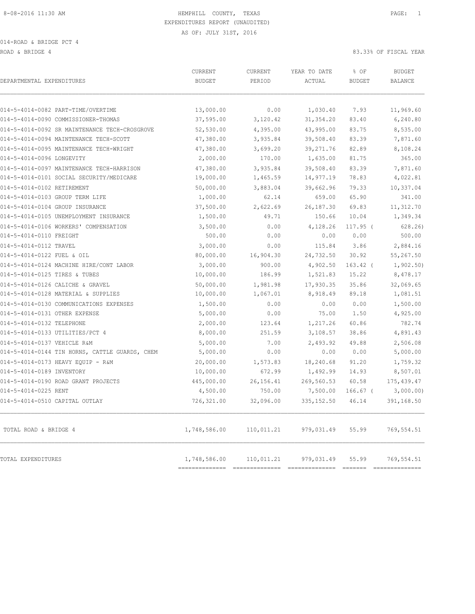014-ROAD & BRIDGE PCT 4

ROAD & BRIDGE 4 83.33% OF FISCAL YEAR

| DEPARTMENTAL EXPENDITURES                      | CURRENT<br><b>BUDGET</b> | CURRENT<br>PERIOD | YEAR TO DATE<br>ACTUAL | % OF<br><b>BUDGET</b> | <b>BUDGET</b><br><b>BALANCE</b> |
|------------------------------------------------|--------------------------|-------------------|------------------------|-----------------------|---------------------------------|
|                                                |                          |                   |                        |                       |                                 |
| 014-5-4014-0082 PART-TIME/OVERTIME             | 13,000.00                | 0.00              | 1,030.40               | 7.93                  | 11,969.60                       |
| 014-5-4014-0090 COMMISSIONER-THOMAS            | 37,595.00                | 3,120.42          | 31, 354.20             | 83.40                 | 6,240.80                        |
| 014-5-4014-0092 SR MAINTENANCE TECH-CROSGROVE  | 52,530.00                | 4,395.00          | 43,995.00              | 83.75                 | 8,535.00                        |
| 014-5-4014-0094 MAINTENANCE TECH-SCOTT         | 47,380.00                | 3,935.84          | 39,508.40              | 83.39                 | 7,871.60                        |
| 014-5-4014-0095 MAINTENANCE TECH-WRIGHT        | 47,380.00                | 3,699.20          | 39, 271.76             | 82.89                 | 8,108.24                        |
| 014-5-4014-0096 LONGEVITY                      | 2,000.00                 | 170.00            | 1,635.00               | 81.75                 | 365.00                          |
| 014-5-4014-0097 MAINTENANCE TECH-HARRISON      | 47,380.00                | 3,935.84          | 39,508.40              | 83.39                 | 7,871.60                        |
| 014-5-4014-0101 SOCIAL SECURITY/MEDICARE       | 19,000.00                | 1,465.59          | 14,977.19              | 78.83                 | 4,022.81                        |
| 014-5-4014-0102 RETIREMENT                     | 50,000.00                | 3,883.04          | 39,662.96              | 79.33                 | 10,337.04                       |
| 014-5-4014-0103 GROUP TERM LIFE                | 1,000.00                 | 62.14             | 659.00                 | 65.90                 | 341.00                          |
| 014-5-4014-0104 GROUP INSURANCE                | 37,500.00                | 2,622.69          | 26,187.30              | 69.83                 | 11,312.70                       |
| 014-5-4014-0105 UNEMPLOYMENT INSURANCE         | 1,500.00                 | 49.71             | 150.66                 | 10.04                 | 1,349.34                        |
| 014-5-4014-0106 WORKERS' COMPENSATION          | 3,500.00                 | 0.00              | 4,128.26               | $117.95$ (            | 628.26                          |
| 014-5-4014-0110 FREIGHT                        | 500.00                   | 0.00              | 0.00                   | 0.00                  | 500.00                          |
| 014-5-4014-0112 TRAVEL                         | 3,000.00                 | 0.00              | 115.84                 | 3.86                  | 2,884.16                        |
| 014-5-4014-0122 FUEL & OIL                     | 80,000.00                | 16,904.30         | 24,732.50              | 30.92                 | 55,267.50                       |
| 014-5-4014-0124 MACHINE HIRE/CONT LABOR        | 3,000.00                 | 900.00            | 4,902.50               | $163.42$ (            | 1,902.50                        |
| 014-5-4014-0125 TIRES & TUBES                  | 10,000.00                | 186.99            | 1,521.83               | 15.22                 | 8,478.17                        |
| 014-5-4014-0126 CALICHE & GRAVEL               | 50,000.00                | 1,981.98          | 17,930.35              | 35.86                 | 32,069.65                       |
| 014-5-4014-0128 MATERIAL & SUPPLIES            | 10,000.00                | 1,067.01          | 8,918.49               | 89.18                 | 1,081.51                        |
| 014-5-4014-0130 COMMUNICATIONS EXPENSES        | 1,500.00                 | 0.00              | 0.00                   | 0.00                  | 1,500.00                        |
| 014-5-4014-0131 OTHER EXPENSE                  | 5,000.00                 | 0.00              | 75.00                  | 1.50                  | 4,925.00                        |
| 014-5-4014-0132 TELEPHONE                      | 2,000.00                 | 123.64            | 1,217.26               | 60.86                 | 782.74                          |
| 014-5-4014-0133 UTILITIES/PCT 4                | 8,000.00                 | 251.59            | 3,108.57               | 38.86                 | 4,891.43                        |
| 014-5-4014-0137 VEHICLE R&M                    | 5,000.00                 | 7.00              | 2,493.92               | 49.88                 | 2,506.08                        |
| 014-5-4014-0144 TIN HORNS, CATTLE GUARDS, CHEM | 5,000.00                 | 0.00              | 0.00                   | 0.00                  | 5,000.00                        |
| 014-5-4014-0173 HEAVY EQUIP - R&M              | 20,000.00                | 1,573.83          | 18,240.68              | 91.20                 | 1,759.32                        |
| 014-5-4014-0189 INVENTORY                      | 10,000.00                | 672.99            | 1,492.99               | 14.93                 | 8,507.01                        |
| 014-5-4014-0190 ROAD GRANT PROJECTS            | 445,000.00               | 26, 156.41        | 269,560.53             | 60.58                 | 175, 439.47                     |
| 014-5-4014-0225 RENT                           | 4,500.00                 | 750.00            | 7,500.00               | $166.67$ (            | 3,000.00)                       |
| 014-5-4014-0510 CAPITAL OUTLAY                 | 726,321.00               | 32,096.00         | 335, 152.50            | 46.14                 | 391,168.50                      |
| TOTAL ROAD & BRIDGE 4                          | 1,748,586.00             | 110,011.21        | 979,031.49             | 55.99                 | 769,554.51                      |
| TOTAL EXPENDITURES                             | 1,748,586.00             | 110,011.21        | 979,031.49             | 55.99                 | 769,554.51<br>-------------     |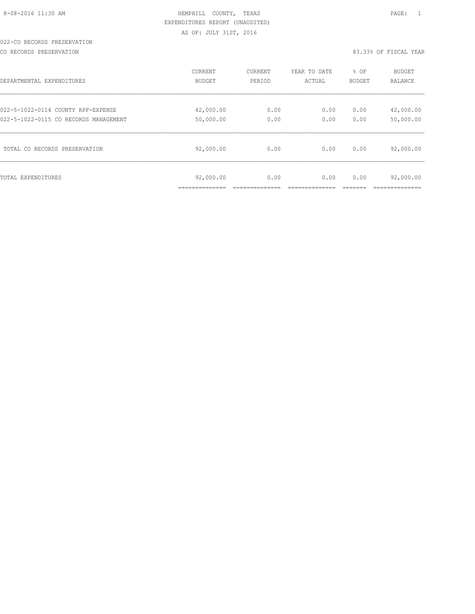# 022-CO RECORDS PRESERVATION

CO RECORDS PRESERVATION 83.33% OF FISCAL YEAR

| DEPARTMENTAL EXPENDITURES             | <b>CURRENT</b>              | CURRENT | YEAR TO DATE | % OF          | <b>BUDGET</b>                              |
|---------------------------------------|-----------------------------|---------|--------------|---------------|--------------------------------------------|
|                                       | BUDGET                      | PERIOD  | ACTUAL       | <b>BUDGET</b> | <b>BALANCE</b>                             |
| 022-5-1022-0114 COUNTY RPF-EXPENSE    | 42,000.00                   | 0.00    | 0.00         | 0.00          | 42,000.00                                  |
| 022-5-1022-0115 CO RECORDS MANAGEMENT | 50,000.00                   | 0.00    | 0.00         | 0.00          | 50,000.00                                  |
| TOTAL CO RECORDS PRESERVATION         | 92,000.00                   | 0.00    | 0.00         | 0.00          | 92,000.00                                  |
| TOTAL EXPENDITURES                    | 92,000.00<br>______________ | 0.00    | 0.00         | 0.00          | 92,000.00<br>. _ _ _ _ _ _ _ _ _ _ _ _ _ _ |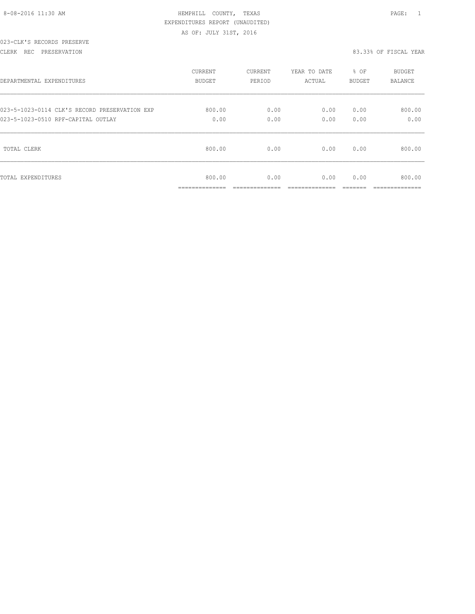|  | 8-08-2016 11:30 AM |  |
|--|--------------------|--|
|  |                    |  |

# HEMPHILL COUNTY, TEXAS **12:30 AM HEMPHILL** COUNTY, TEXAS EXPENDITURES REPORT (UNAUDITED) AS OF: JULY 31ST, 2016

#### 023-CLK'S RECORDS PRESERVE

CLERK REC PRESERVATION 83.33% OF FISCAL YEAR

| DEPARTMENTAL EXPENDITURES                     | <b>CURRENT</b>                             | CURRENT                 | YEAR TO DATE | % OF   | <b>BUDGET</b>                           |
|-----------------------------------------------|--------------------------------------------|-------------------------|--------------|--------|-----------------------------------------|
|                                               | <b>BUDGET</b>                              | PERIOD                  | ACTUAL       | BUDGET | <b>BALANCE</b>                          |
| 023-5-1023-0114 CLK'S RECORD PRESERVATION EXP | 800.00                                     | 0.00                    | 0.00         | 0.00   | 800.00                                  |
| 023-5-1023-0510 RPF-CAPITAL OUTLAY            | 0.00                                       | 0.00                    | 0.00         | 0.00   | 0.00                                    |
| TOTAL CLERK                                   | 800.00                                     | 0.00                    | 0.00         | 0.00   | 800.00                                  |
| TOTAL EXPENDITURES                            | 800.00<br>______________<br>______________ | 0.00<br>--------------- | 0.00         | 0.00   | 800.00<br>-----------<br>______________ |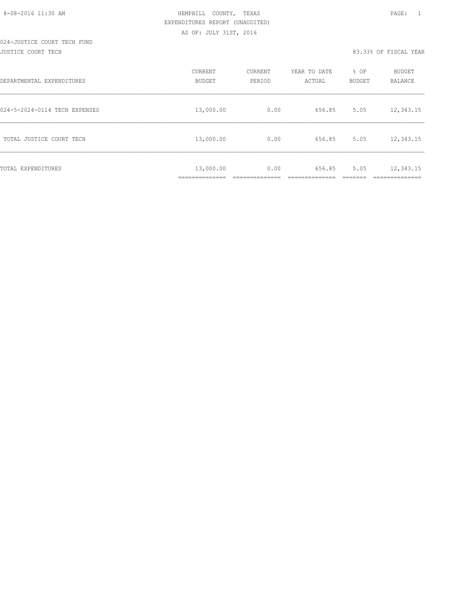JUSTICE COURT TECH 83.33% OF FISCAL YEAR

| DEPARTMENTAL EXPENDITURES     | CURRENT<br><b>BUDGET</b> | CURRENT<br>PERIOD | YEAR TO DATE<br>ACTUAL | % OF<br>BUDGET | BUDGET<br><b>BALANCE</b> |
|-------------------------------|--------------------------|-------------------|------------------------|----------------|--------------------------|
| 024-5-2024-0114 TECH EXPENSES | 13,000.00                | 0.00              | 656.85                 | 5.05           | 12,343.15                |
| TOTAL JUSTICE COURT TECH      | 13,000.00                | 0.00              | 656.85                 | 5.05           | 12,343.15                |
| TOTAL EXPENDITURES            | 13,000.00                | 0.00              | 656.85                 | 5.05           | 12,343.15<br>________    |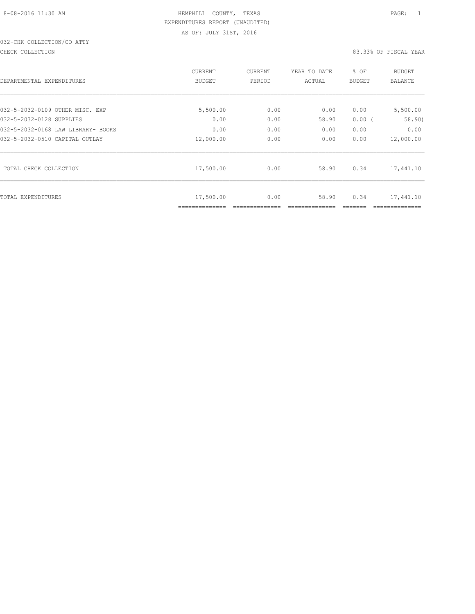# 032-CHK COLLECTION/CO ATTY

#### CHECK COLLECTION 83.33% OF FISCAL YEAR

| DEPARTMENTAL EXPENDITURES          | <b>CURRENT</b><br><b>BUDGET</b> | CURRENT<br>PERIOD | YEAR TO DATE<br>ACTUAL | % OF<br>BUDGET | BUDGET<br><b>BALANCE</b> |
|------------------------------------|---------------------------------|-------------------|------------------------|----------------|--------------------------|
|                                    |                                 |                   |                        |                |                          |
| 032-5-2032-0109 OTHER MISC. EXP    | 5,500.00                        | 0.00              | 0.00                   | 0.00           | 5,500.00                 |
| 032-5-2032-0128 SUPPLIES           | 0.00                            | 0.00              | 58.90                  | 0.00(          | 58.90)                   |
| 032-5-2032-0168 LAW LIBRARY- BOOKS | 0.00                            | 0.00              | 0.00                   | 0.00           | 0.00                     |
| 032-5-2032-0510 CAPITAL OUTLAY     | 12,000.00                       | 0.00              | 0.00                   | 0.00           | 12,000.00                |
| TOTAL CHECK COLLECTION             | 17,500.00                       | 0.00              | 58.90                  | 0.34           | 17,441.10                |
| TOTAL EXPENDITURES                 | 17,500.00<br>==============     | 0.00              | 58.90                  | 0.34           | 17,441.10                |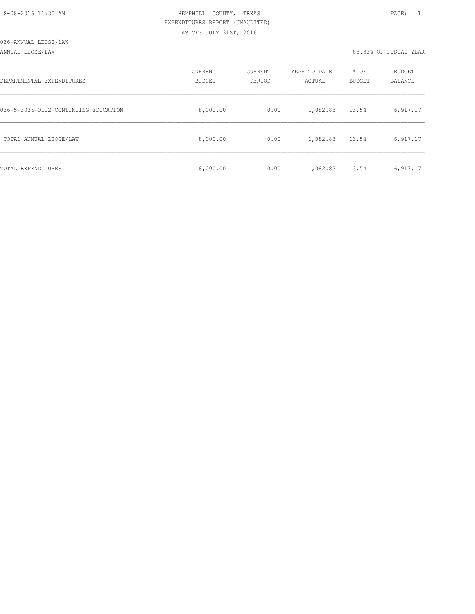| 8-08-2016 11:30 AM |  |
|--------------------|--|

# HEMPHILL COUNTY, TEXAS **PAGE:** 1 EXPENDITURES REPORT (UNAUDITED) AS OF: JULY 31ST, 2016

ANNUAL LEOSE/LAW 83.33% OF FISCAL YEAR

| DEPARTMENTAL EXPENDITURES            | CURRENT<br>BUDGET       | <b>CURRENT</b><br>PERIOD | YEAR TO DATE<br>ACTUAL | % OF<br>BUDGET | <b>BUDGET</b><br>BALANCE |
|--------------------------------------|-------------------------|--------------------------|------------------------|----------------|--------------------------|
| 036-5-3036-0112 CONTINUING EDUCATION | 8,000.00                | 0.00                     | 1,082.83               | 13.54          | 6,917.17                 |
| TOTAL ANNUAL LEOSE/LAW               | 8,000.00                | 0.00                     | 1,082.83               | 13.54          | 6,917.17                 |
| TOTAL EXPENDITURES                   | 8,000.00<br>=========== | 0.00                     | 1,082.83               | 13.54          | 6,917.17                 |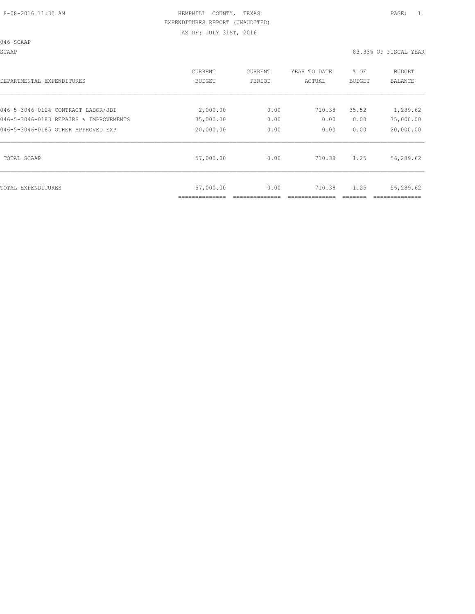046-SCAAP

SCAAP 83.33% OF FISCAL YEAR

| DEPARTMENTAL EXPENDITURES              | CURRENT       | CURRENT | YEAR TO DATE | % OF   | BUDGET    |
|----------------------------------------|---------------|---------|--------------|--------|-----------|
|                                        | <b>BUDGET</b> | PERIOD  | ACTUAL       | BUDGET | BALANCE   |
| 046-5-3046-0124 CONTRACT LABOR/JBI     | 2,000.00      | 0.00    | 710.38       | 35.52  | 1,289.62  |
| 046-5-3046-0183 REPAIRS & IMPROVEMENTS | 35,000.00     | 0.00    | 0.00         | 0.00   | 35,000.00 |
| 046-5-3046-0185 OTHER APPROVED EXP     | 20,000.00     | 0.00    | 0.00         | 0.00   | 20,000.00 |
| TOTAL SCAAP                            | 57,000.00     | 0.00    | 710.38       | 1.25   | 56,289.62 |
| TOTAL EXPENDITURES                     | 57,000.00     | 0.00    | 710.38       | 1.25   | 56,289.62 |